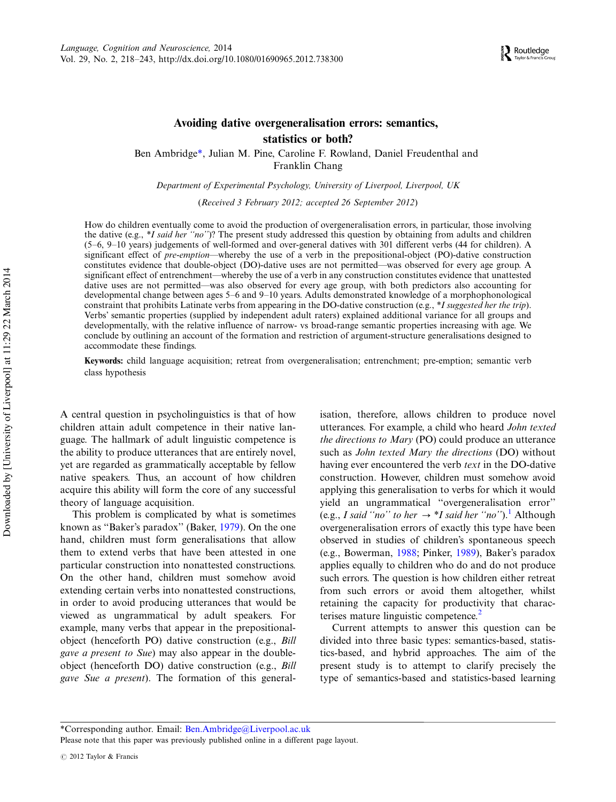# Avoiding dative overgeneralisation errors: semantics, statistics or both?

Ben Ambridge\*, Julian M. Pine, Caroline F. Rowland, Daniel Freudenthal and Franklin Chang

Department of Experimental Psychology, University of Liverpool, Liverpool, UK

(Received 3 February 2012; accepted 26 September 2012)

How do children eventually come to avoid the production of overgeneralisation errors, in particular, those involving the dative (e.g., *\*I said her "no"*)? The present study addressed this question by obtaining from adults and children  $(5-6, 9-10)$  years) judgements of well-formed and over-general datives with 301 different verbs  $(44)$  for children). A significant effect of *pre-emption*—whereby the use of a verb in the prepositional-object (PO)-dative construction constitutes evidence that double-object (DO)-dative uses are not permitted—was observed for every age group. A significant effect of entrenchment—whereby the use of a verb in any construction constitutes evidence that unattested dative uses are not permitted—was also observed for every age group, with both predictors also accounting for developmental change between ages 5–6 and 9–10 years. Adults demonstrated knowledge of a morphophonological constraint that prohibits Latinate verbs from appearing in the DO-dative construction (e.g., \*I suggested her the trip). Verbs' semantic properties (supplied by independent adult raters) explained additional variance for all groups and developmentally, with the relative influence of narrow- vs broad-range semantic properties increasing with age. We conclude by outlining an account of the formation and restriction of argument-structure generalisations designed to accommodate these findings.

Keywords: child language acquisition; retreat from overgeneralisation; entrenchment; pre-emption; semantic verb class hypothesis

A central question in psycholinguistics is that of how children attain adult competence in their native language. The hallmark of adult linguistic competence is the ability to produce utterances that are entirely novel, yet are regarded as grammatically acceptable by fellow native speakers. Thus, an account of how children acquire this ability will form the core of any successful theory of language acquisition.

This problem is complicated by what is sometimes known as ''Baker's paradox'' (Baker, [1979](#page-24-0)). On the one hand, children must form generalisations that allow them to extend verbs that have been attested in one particular construction into nonattested constructions. On the other hand, children must somehow avoid extending certain verbs into nonattested constructions, in order to avoid producing utterances that would be viewed as ungrammatical by adult speakers. For example, many verbs that appear in the prepositionalobject (henceforth PO) dative construction (e.g., Bill gave a present to Sue) may also appear in the doubleobject (henceforth DO) dative construction (e.g., Bill gave Sue a present). The formation of this generalisation, therefore, allows children to produce novel utterances. For example, a child who heard John texted the directions to Mary (PO) could produce an utterance such as John texted Mary the directions (DO) without having ever encountered the verb text in the DO-dative construction. However, children must somehow avoid applying this generalisation to verbs for which it would yield an ungrammatical ''overgeneralisation error'' (e.g., I said "no" to her  $\rightarrow$  \*I said her "no").<sup>[1](#page-23-0)</sup> Although overgeneralisation errors of exactly this type have been observed in studies of children's spontaneous speech (e.g., Bowerman, [1988](#page-24-0); Pinker, [1989](#page-25-0)), Baker's paradox applies equally to children who do and do not produce such errors. The question is how children either retreat from such errors or avoid them altogether, whilst retaining the capacity for productivity that charac-terises mature linguistic competence.<sup>[2](#page-23-0)</sup>

Current attempts to answer this question can be divided into three basic types: semantics-based, statistics-based, and hybrid approaches. The aim of the present study is to attempt to clarify precisely the type of semantics-based and statistics-based learning

Please note that this paper was previously published online in a different page layout.

<sup>\*</sup>Corresponding author. Email: [Ben.Ambridge@Liverpool.ac.uk](mailto:Ben.Ambridge@Liverpool.ac.uk)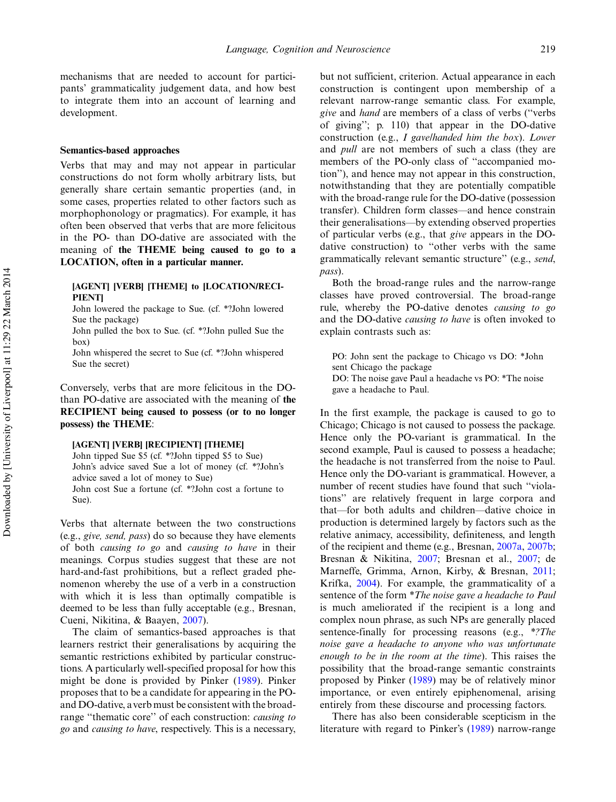mechanisms that are needed to account for participants' grammaticality judgement data, and how best to integrate them into an account of learning and development.

#### Semantics-based approaches

Verbs that may and may not appear in particular constructions do not form wholly arbitrary lists, but generally share certain semantic properties (and, in some cases, properties related to other factors such as morphophonology or pragmatics). For example, it has often been observed that verbs that are more felicitous in the PO- than DO-dative are associated with the meaning of the THEME being caused to go to a LOCATION, often in a particular manner.

## [AGENT] [VERB] [THEME] to [LOCATION/RECI-**PIENT**

John lowered the package to Sue. (cf. \*?John lowered Sue the package)

John pulled the box to Sue. (cf. \*?John pulled Sue the box)

John whispered the secret to Sue (cf. \*?John whispered Sue the secret)

Conversely, verbs that are more felicitous in the DOthan PO-dative are associated with the meaning of the RECIPIENT being caused to possess (or to no longer possess) the THEME:

# [AGENT] [VERB] [RECIPIENT] [THEME]

John tipped Sue \$5 (cf. \*?John tipped \$5 to Sue) John's advice saved Sue a lot of money (cf. \*?John's advice saved a lot of money to Sue) John cost Sue a fortune (cf. \*?John cost a fortune to Sue).

Verbs that alternate between the two constructions (e.g., give, send, pass) do so because they have elements of both causing to go and causing to have in their meanings. Corpus studies suggest that these are not hard-and-fast prohibitions, but a reflect graded phenomenon whereby the use of a verb in a construction with which it is less than optimally compatible is deemed to be less than fully acceptable (e.g., Bresnan, Cueni, Nikitina, & Baayen, [2007\)](#page-24-0).

The claim of semantics-based approaches is that learners restrict their generalisations by acquiring the semantic restrictions exhibited by particular constructions. A particularly well-specified proposal for how this might be done is provided by Pinker [\(1989](#page-25-0)). Pinker proposes that to be a candidate for appearing in the POand DO-dative, averb must be consistent with the broadrange "thematic core" of each construction: *causing to* go and causing to have, respectively. This is a necessary,

but not sufficient, criterion. Actual appearance in each construction is contingent upon membership of a relevant narrow-range semantic class. For example, give and hand are members of a class of verbs (''verbs of giving''; p. 110) that appear in the DO-dative construction (e.g., I gave/handed him the box). Lower and pull are not members of such a class (they are members of the PO-only class of ''accompanied motion''), and hence may not appear in this construction, notwithstanding that they are potentially compatible with the broad-range rule for the DO-dative (possession transfer). Children form classes—and hence constrain their generalisations—by extending observed properties of particular verbs (e.g., that give appears in the DOdative construction) to ''other verbs with the same grammatically relevant semantic structure'' (e.g., send, pass).

Both the broad-range rules and the narrow-range classes have proved controversial. The broad-range rule, whereby the PO-dative denotes causing to go and the DO-dative *causing to have* is often invoked to explain contrasts such as:

PO: John sent the package to Chicago vs DO: \*John sent Chicago the package DO: The noise gave Paul a headache vs PO: \*The noise gave a headache to Paul.

In the first example, the package is caused to go to Chicago; Chicago is not caused to possess the package. Hence only the PO-variant is grammatical. In the second example, Paul is caused to possess a headache; the headache is not transferred from the noise to Paul. Hence only the DO-variant is grammatical. However, a number of recent studies have found that such ''violations'' are relatively frequent in large corpora and that—for both adults and children—dative choice in production is determined largely by factors such as the relative animacy, accessibility, definiteness, and length of the recipient and theme (e.g., Bresnan, [2007a,](#page-24-0) [2007b](#page-24-0); Bresnan & Nikitina, [2007;](#page-24-0) Bresnan et al., [2007](#page-24-0); de Marneffe, Grimma, Arnon, Kirby, & Bresnan, [2011](#page-24-0); Krifka, [2004\)](#page-25-0). For example, the grammaticality of a sentence of the form \*The noise gave a headache to Paul is much ameliorated if the recipient is a long and complex noun phrase, as such NPs are generally placed sentence-finally for processing reasons (e.g., \*?The noise gave a headache to anyone who was unfortunate enough to be in the room at the time). This raises the possibility that the broad-range semantic constraints proposed by Pinker [\(1989\)](#page-25-0) may be of relatively minor importance, or even entirely epiphenomenal, arising entirely from these discourse and processing factors.

There has also been considerable scepticism in the literature with regard to Pinker's ([1989](#page-25-0)) narrow-range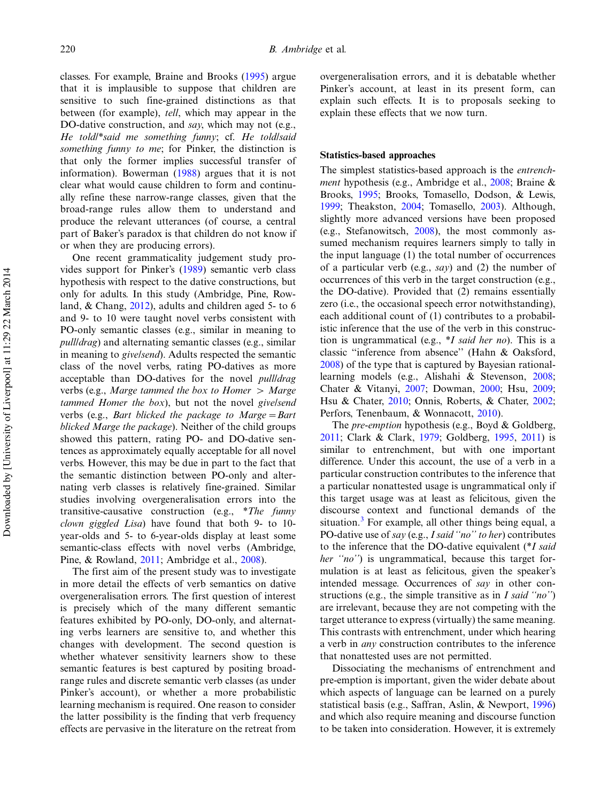classes. For example, Braine and Brooks [\(1995](#page-24-0)) argue that it is implausible to suppose that children are sensitive to such fine-grained distinctions as that between (for example), tell, which may appear in the DO-dative construction, and say, which may not (e.g., He told/\*said me something funny; cf. He told/said something funny to me; for Pinker, the distinction is that only the former implies successful transfer of information). Bowerman ([1988\)](#page-24-0) argues that it is not clear what would cause children to form and continually refine these narrow-range classes, given that the broad-range rules allow them to understand and produce the relevant utterances (of course, a central part of Baker's paradox is that children do not know if or when they are producing errors).

One recent grammaticality judgement study provides support for Pinker's ([1989\)](#page-25-0) semantic verb class hypothesis with respect to the dative constructions, but only for adults. In this study (Ambridge, Pine, Rowland, & Chang, [2012](#page-24-0)), adults and children aged 5- to 6 and 9- to 10 were taught novel verbs consistent with PO-only semantic classes (e.g., similar in meaning to pull/drag) and alternating semantic classes (e.g., similar in meaning to give/send). Adults respected the semantic class of the novel verbs, rating PO-datives as more acceptable than DO-datives for the novel pull/drag verbs (e.g., Marge tammed the box to Homer  $>$  Marge tammed Homer the box), but not the novel give/send verbs (e.g., Bart blicked the package to Marge = Bart blicked Marge the package). Neither of the child groups showed this pattern, rating PO- and DO-dative sentences as approximately equally acceptable for all novel verbs. However, this may be due in part to the fact that the semantic distinction between PO-only and alternating verb classes is relatively fine-grained. Similar studies involving overgeneralisation errors into the transitive-causative construction (e.g., \*The funny clown giggled Lisa) have found that both 9- to 10year-olds and 5- to 6-year-olds display at least some semantic-class effects with novel verbs (Ambridge, Pine, & Rowland, [2011;](#page-24-0) Ambridge et al., [2008](#page-24-0)).

The first aim of the present study was to investigate in more detail the effects of verb semantics on dative overgeneralisation errors. The first question of interest is precisely which of the many different semantic features exhibited by PO-only, DO-only, and alternating verbs learners are sensitive to, and whether this changes with development. The second question is whether whatever sensitivity learners show to these semantic features is best captured by positing broadrange rules and discrete semantic verb classes (as under Pinker's account), or whether a more probabilistic learning mechanism is required. One reason to consider the latter possibility is the finding that verb frequency effects are pervasive in the literature on the retreat from

overgeneralisation errors, and it is debatable whether Pinker's account, at least in its present form, can explain such effects. It is to proposals seeking to explain these effects that we now turn.

#### Statistics-based approaches

The simplest statistics-based approach is the *entrench*ment hypothesis (e.g., Ambridge et al., [2008;](#page-24-0) Braine & Brooks, [1995](#page-24-0); Brooks, Tomasello, Dodson, & Lewis, [1999;](#page-24-0) Theakston, [2004](#page-25-0); Tomasello, [2003](#page-25-0)). Although, slightly more advanced versions have been proposed (e.g., Stefanowitsch, [2008](#page-25-0)), the most commonly assumed mechanism requires learners simply to tally in the input language (1) the total number of occurrences of a particular verb (e.g., say) and (2) the number of occurrences of this verb in the target construction (e.g., the DO-dative). Provided that (2) remains essentially zero (i.e., the occasional speech error notwithstanding), each additional count of (1) contributes to a probabilistic inference that the use of the verb in this construction is ungrammatical (e.g.,  $*I$  said her no). This is a classic ''inference from absence'' (Hahn & Oaksford, [2008\)](#page-25-0) of the type that is captured by Bayesian rationallearning models (e.g., Alishahi & Stevenson, [2008](#page-24-0); Chater & Vitanyi, [2007;](#page-24-0) Dowman, [2000;](#page-24-0) Hsu, [2009](#page-25-0); Hsu & Chater, [2010;](#page-25-0) Onnis, Roberts, & Chater, [2002](#page-25-0); Perfors, Tenenbaum, & Wonnacott, [2010](#page-25-0)).

The pre-emption hypothesis (e.g., Boyd & Goldberg, [2011;](#page-24-0) Clark & Clark, [1979;](#page-24-0) Goldberg, [1995,](#page-25-0) [2011\)](#page-25-0) is similar to entrenchment, but with one important difference. Under this account, the use of a verb in a particular construction contributes to the inference that a particular nonattested usage is ungrammatical only if this target usage was at least as felicitous, given the discourse context and functional demands of the situation.<sup>[3](#page-23-0)</sup> For example, all other things being equal, a PO-dative use of say (e.g.,  $I$  said "no" to her) contributes to the inference that the DO-dative equivalent (\*I said her "no") is ungrammatical, because this target formulation is at least as felicitous, given the speaker's intended message. Occurrences of say in other constructions (e.g., the simple transitive as in  $I$  said "no") are irrelevant, because they are not competing with the target utterance to express (virtually) the same meaning. This contrasts with entrenchment, under which hearing a verb in any construction contributes to the inference that nonattested uses are not permitted.

Dissociating the mechanisms of entrenchment and pre-emption is important, given the wider debate about which aspects of language can be learned on a purely statistical basis (e.g., Saffran, Aslin, & Newport, [1996](#page-25-0)) and which also require meaning and discourse function to be taken into consideration. However, it is extremely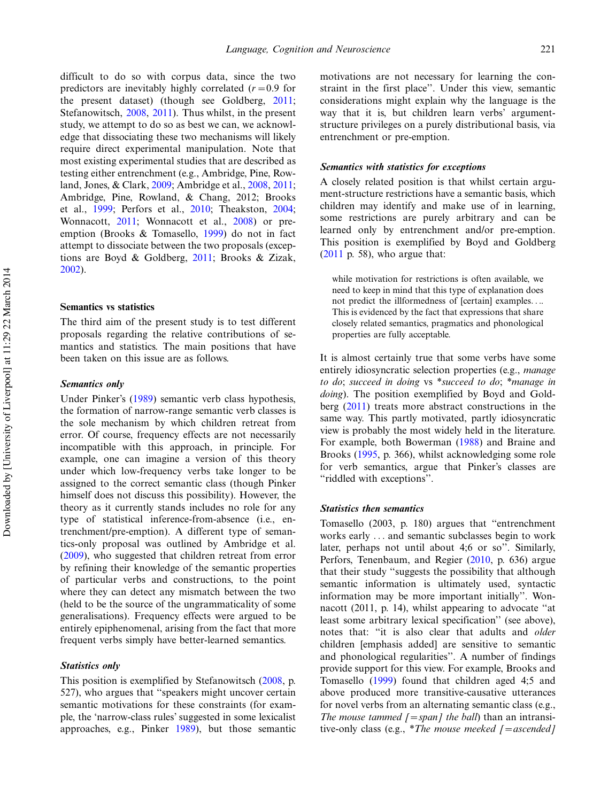difficult to do so with corpus data, since the two predictors are inevitably highly correlated  $(r=0.9$  for the present dataset) (though see Goldberg, [2011](#page-25-0); Stefanowitsch, [2008,](#page-25-0) [2011\)](#page-25-0). Thus whilst, in the present study, we attempt to do so as best we can, we acknowledge that dissociating these two mechanisms will likely require direct experimental manipulation. Note that most existing experimental studies that are described as testing either entrenchment (e.g., Ambridge, Pine, Rowland, Jones, & Clark, [2009;](#page-24-0) Ambridge et al., [2008](#page-24-0), [2011](#page-24-0); Ambridge, Pine, Rowland, & Chang, 2012; Brooks et al., [1999;](#page-24-0) Perfors et al., [2010](#page-25-0); Theakston, [2004](#page-25-0); Wonnacott, [2011](#page-25-0); Wonnacott et al., [2008\)](#page-25-0) or preemption (Brooks & Tomasello, [1999\)](#page-24-0) do not in fact attempt to dissociate between the two proposals (exceptions are Boyd & Goldberg, [2011;](#page-24-0) Brooks & Zizak, [2002\)](#page-24-0).

#### Semantics vs statistics

The third aim of the present study is to test different proposals regarding the relative contributions of semantics and statistics. The main positions that have been taken on this issue are as follows.

#### Semantics only

Under Pinker's ([1989](#page-25-0)) semantic verb class hypothesis, the formation of narrow-range semantic verb classes is the sole mechanism by which children retreat from error. Of course, frequency effects are not necessarily incompatible with this approach, in principle. For example, one can imagine a version of this theory under which low-frequency verbs take longer to be assigned to the correct semantic class (though Pinker himself does not discuss this possibility). However, the theory as it currently stands includes no role for any type of statistical inference-from-absence (i.e., entrenchment/pre-emption). A different type of semantics-only proposal was outlined by Ambridge et al. ([2009\)](#page-24-0), who suggested that children retreat from error by refining their knowledge of the semantic properties of particular verbs and constructions, to the point where they can detect any mismatch between the two (held to be the source of the ungrammaticality of some generalisations). Frequency effects were argued to be entirely epiphenomenal, arising from the fact that more frequent verbs simply have better-learned semantics.

### Statistics only

This position is exemplified by Stefanowitsch [\(2008](#page-25-0), p. 527), who argues that ''speakers might uncover certain semantic motivations for these constraints (for example, the 'narrow-class rules' suggested in some lexicalist approaches, e.g., Pinker [1989\)](#page-25-0), but those semantic motivations are not necessary for learning the constraint in the first place''. Under this view, semantic considerations might explain why the language is the way that it is, but children learn verbs' argumentstructure privileges on a purely distributional basis, via entrenchment or pre-emption.

#### Semantics with statistics for exceptions

A closely related position is that whilst certain argument-structure restrictions have a semantic basis, which children may identify and make use of in learning, some restrictions are purely arbitrary and can be learned only by entrenchment and/or pre-emption. This position is exemplified by Boyd and Goldberg [\(2011](#page-24-0) p. 58), who argue that:

while motivation for restrictions is often available, we need to keep in mind that this type of explanation does not predict the illformedness of [certain] examples.... This is evidenced by the fact that expressions that share closely related semantics, pragmatics and phonological properties are fully acceptable.

It is almost certainly true that some verbs have some entirely idiosyncratic selection properties (e.g., *manage* to do; succeed in doing vs \*succeed to do; \*manage in doing). The position exemplified by Boyd and Goldberg ([2011\)](#page-24-0) treats more abstract constructions in the same way. This partly motivated, partly idiosyncratic view is probably the most widely held in the literature. For example, both Bowerman [\(1988](#page-24-0)) and Braine and Brooks ([1995,](#page-24-0) p. 366), whilst acknowledging some role for verb semantics, argue that Pinker's classes are ''riddled with exceptions''.

### Statistics then semantics

Tomasello (2003, p. 180) argues that ''entrenchment works early ... and semantic subclasses begin to work later, perhaps not until about 4;6 or so''. Similarly, Perfors, Tenenbaum, and Regier [\(2010](#page-25-0), p. 636) argue that their study ''suggests the possibility that although semantic information is ultimately used, syntactic information may be more important initially''. Wonnacott (2011, p. 14), whilst appearing to advocate ''at least some arbitrary lexical specification'' (see above), notes that: "it is also clear that adults and older children [emphasis added] are sensitive to semantic and phonological regularities''. A number of findings provide support for this view. For example, Brooks and Tomasello ([1999\)](#page-24-0) found that children aged 4;5 and above produced more transitive-causative utterances for novel verbs from an alternating semantic class (e.g., The mouse tammed  $\mathcal{L} = span \mathcal{L}$  the ball) than an intransitive-only class (e.g.,  $*$ The mouse meeked  $[$  = ascended]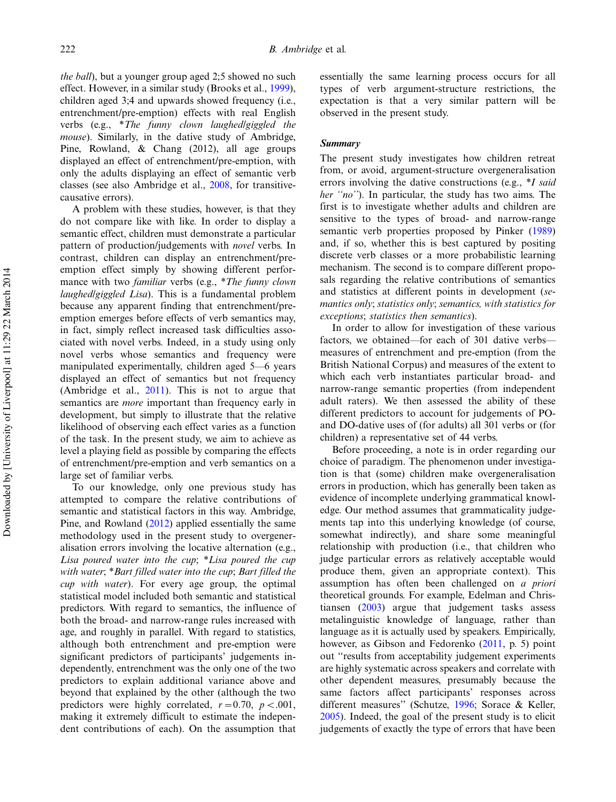the ball), but a younger group aged 2;5 showed no such effect. However, in a similar study (Brooks et al., [1999\)](#page-24-0), children aged 3;4 and upwards showed frequency (i.e., entrenchment/pre-emption) effects with real English verbs (e.g., \*The funny clown laughed/giggled the mouse). Similarly, in the dative study of Ambridge, Pine, Rowland, & Chang (2012), all age groups displayed an effect of entrenchment/pre-emption, with only the adults displaying an effect of semantic verb classes (see also Ambridge et al., [2008](#page-24-0), for transitivecausative errors).

A problem with these studies, however, is that they do not compare like with like. In order to display a semantic effect, children must demonstrate a particular pattern of production/judgements with novel verbs. In contrast, children can display an entrenchment/preemption effect simply by showing different performance with two familiar verbs (e.g., \*The funny clown laughed/giggled Lisa). This is a fundamental problem because any apparent finding that entrenchment/preemption emerges before effects of verb semantics may, in fact, simply reflect increased task difficulties associated with novel verbs. Indeed, in a study using only novel verbs whose semantics and frequency were manipulated experimentally, children aged 5–6 years displayed an effect of semantics but not frequency (Ambridge et al., [2011\)](#page-24-0). This is not to argue that semantics are more important than frequency early in development, but simply to illustrate that the relative likelihood of observing each effect varies as a function of the task. In the present study, we aim to achieve as level a playing field as possible by comparing the effects of entrenchment/pre-emption and verb semantics on a large set of familiar verbs.

To our knowledge, only one previous study has attempted to compare the relative contributions of semantic and statistical factors in this way. Ambridge, Pine, and Rowland ([2012\)](#page-24-0) applied essentially the same methodology used in the present study to overgeneralisation errors involving the locative alternation (e.g., Lisa poured water into the cup; \*Lisa poured the cup with water; \*Bart filled water into the cup; Bart filled the cup with water). For every age group, the optimal statistical model included both semantic and statistical predictors. With regard to semantics, the influence of both the broad- and narrow-range rules increased with age, and roughly in parallel. With regard to statistics, although both entrenchment and pre-emption were significant predictors of participants' judgements independently, entrenchment was the only one of the two predictors to explain additional variance above and beyond that explained by the other (although the two predictors were highly correlated,  $r = 0.70$ ,  $p < .001$ , making it extremely difficult to estimate the independent contributions of each). On the assumption that

essentially the same learning process occurs for all types of verb argument-structure restrictions, the expectation is that a very similar pattern will be observed in the present study.

#### Summary

The present study investigates how children retreat from, or avoid, argument-structure overgeneralisation errors involving the dative constructions (e.g.,  $*I$  said her "no"). In particular, the study has two aims. The first is to investigate whether adults and children are sensitive to the types of broad- and narrow-range semantic verb properties proposed by Pinker ([1989](#page-25-0)) and, if so, whether this is best captured by positing discrete verb classes or a more probabilistic learning mechanism. The second is to compare different proposals regarding the relative contributions of semantics and statistics at different points in development (semantics only; statistics only; semantics, with statistics for exceptions; statistics then semantics).

In order to allow for investigation of these various factors, we obtained—for each of 301 dative verbsmeasures of entrenchment and pre-emption (from the British National Corpus) and measures of the extent to which each verb instantiates particular broad- and narrow-range semantic properties (from independent adult raters). We then assessed the ability of these different predictors to account for judgements of POand DO-dative uses of (for adults) all 301 verbs or (for children) a representative set of 44 verbs.

Before proceeding, a note is in order regarding our choice of paradigm. The phenomenon under investigation is that (some) children make overgeneralisation errors in production, which has generally been taken as evidence of incomplete underlying grammatical knowledge. Our method assumes that grammaticality judgements tap into this underlying knowledge (of course, somewhat indirectly), and share some meaningful relationship with production (i.e., that children who judge particular errors as relatively acceptable would produce them, given an appropriate context). This assumption has often been challenged on a priori theoretical grounds. For example, Edelman and Christiansen ([2003\)](#page-24-0) argue that judgement tasks assess metalinguistic knowledge of language, rather than language as it is actually used by speakers. Empirically, however, as Gibson and Fedorenko ([2011](#page-25-0), p. 5) point out ''results from acceptability judgement experiments are highly systematic across speakers and correlate with other dependent measures, presumably because the same factors affect participants' responses across different measures'' (Schutze, [1996](#page-25-0); Sorace & Keller, [2005\)](#page-25-0). Indeed, the goal of the present study is to elicit judgements of exactly the type of errors that have been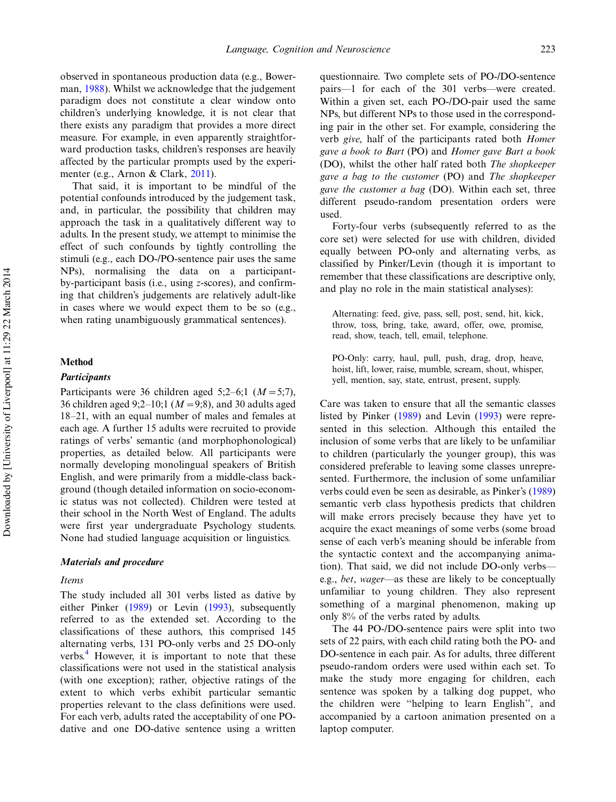observed in spontaneous production data (e.g., Bowerman, [1988](#page-24-0)). Whilst we acknowledge that the judgement paradigm does not constitute a clear window onto children's underlying knowledge, it is not clear that there exists any paradigm that provides a more direct measure. For example, in even apparently straightforward production tasks, children's responses are heavily affected by the particular prompts used by the experimenter (e.g., Arnon & Clark, [2011](#page-24-0)).

That said, it is important to be mindful of the potential confounds introduced by the judgement task, and, in particular, the possibility that children may approach the task in a qualitatively different way to adults. In the present study, we attempt to minimise the effect of such confounds by tightly controlling the stimuli (e.g., each DO-/PO-sentence pair uses the same NPs), normalising the data on a participantby-participant basis (i.e., using z-scores), and confirming that children's judgements are relatively adult-like in cases where we would expect them to be so (e.g., when rating unambiguously grammatical sentences).

### Method

#### **Participants**

Participants were 36 children aged 5;2–6;1 ( $M = 5$ ;7), 36 children aged 9;2–10;1 ( $M = 9;8$ ), and 30 adults aged 18–21, with an equal number of males and females at each age. A further 15 adults were recruited to provide ratings of verbs' semantic (and morphophonological) properties, as detailed below. All participants were normally developing monolingual speakers of British English, and were primarily from a middle-class background (though detailed information on socio-economic status was not collected). Children were tested at their school in the North West of England. The adults were first year undergraduate Psychology students. None had studied language acquisition or linguistics.

#### Materials and procedure

# Items

The study included all 301 verbs listed as dative by either Pinker [\(1989](#page-25-0)) or Levin ([1993\)](#page-25-0), subsequently referred to as the extended set. According to the classifications of these authors, this comprised 145 alternating verbs, 131 PO-only verbs and 25 DO-only verbs.<sup>4</sup> However, it is important to note that these classifications were not used in the statistical analysis (with one exception); rather, objective ratings of the extent to which verbs exhibit particular semantic properties relevant to the class definitions were used. For each verb, adults rated the acceptability of one POdative and one DO-dative sentence using a written questionnaire. Two complete sets of PO-/DO-sentence pairs-1 for each of the 301 verbs-were created. Within a given set, each PO-/DO-pair used the same NPs, but different NPs to those used in the corresponding pair in the other set. For example, considering the verb give, half of the participants rated both Homer gave a book to Bart (PO) and Homer gave Bart a book (DO), whilst the other half rated both The shopkeeper gave a bag to the customer (PO) and The shopkeeper gave the customer a bag (DO). Within each set, three different pseudo-random presentation orders were used.

Forty-four verbs (subsequently referred to as the core set) were selected for use with children, divided equally between PO-only and alternating verbs, as classified by Pinker/Levin (though it is important to remember that these classifications are descriptive only, and play no role in the main statistical analyses):

Alternating: feed, give, pass, sell, post, send, hit, kick, throw, toss, bring, take, award, offer, owe, promise, read, show, teach, tell, email, telephone.

PO-Only: carry, haul, pull, push, drag, drop, heave, hoist, lift, lower, raise, mumble, scream, shout, whisper, yell, mention, say, state, entrust, present, supply.

Care was taken to ensure that all the semantic classes listed by Pinker ([1989](#page-25-0)) and Levin [\(1993](#page-25-0)) were represented in this selection. Although this entailed the inclusion of some verbs that are likely to be unfamiliar to children (particularly the younger group), this was considered preferable to leaving some classes unrepresented. Furthermore, the inclusion of some unfamiliar verbs could even be seen as desirable, as Pinker's ([1989](#page-25-0)) semantic verb class hypothesis predicts that children will make errors precisely because they have yet to acquire the exact meanings of some verbs (some broad sense of each verb's meaning should be inferable from the syntactic context and the accompanying animation). That said, we did not include DO-only verbse.g., *bet, wager*—as these are likely to be conceptually unfamiliar to young children. They also represent something of a marginal phenomenon, making up only 8% of the verbs rated by adults.

The 44 PO-/DO-sentence pairs were split into two sets of 22 pairs, with each child rating both the PO- and DO-sentence in each pair. As for adults, three different pseudo-random orders were used within each set. To make the study more engaging for children, each sentence was spoken by a talking dog puppet, who the children were ''helping to learn English'', and accompanied by a cartoon animation presented on a laptop computer.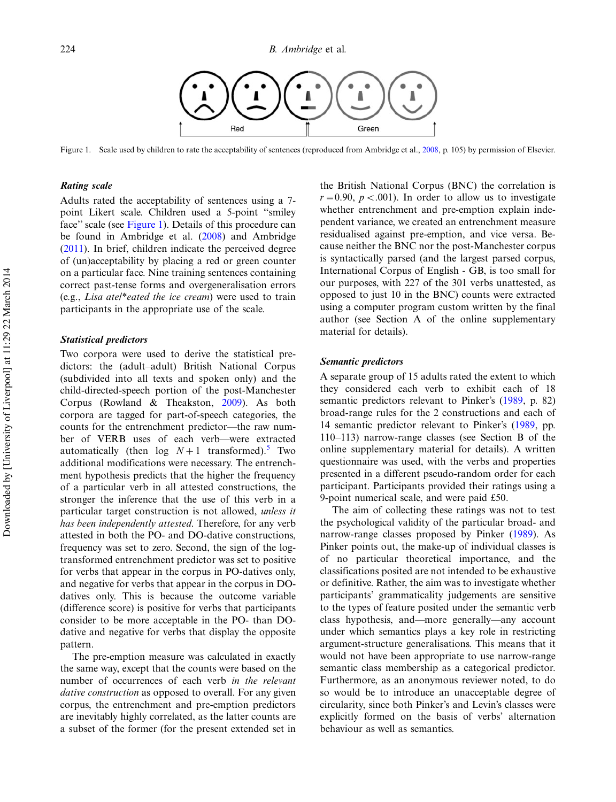

Figure 1. Scale used by children to rate the acceptability of sentences (reproduced from Ambridge et al., [2008,](#page-24-0) p. 105) by permission of Elsevier.

# Rating scale

Adults rated the acceptability of sentences using a 7 point Likert scale. Children used a 5-point ''smiley face'' scale (see Figure 1). Details of this procedure can be found in Ambridge et al. ([2008\)](#page-24-0) and Ambridge ([2011\)](#page-24-0). In brief, children indicate the perceived degree of (un)acceptability by placing a red or green counter on a particular face. Nine training sentences containing correct past-tense forms and overgeneralisation errors (e.g., Lisa ate/\*eated the ice cream) were used to train participants in the appropriate use of the scale.

### Statistical predictors

Two corpora were used to derive the statistical predictors: the (adult-adult) British National Corpus (subdivided into all texts and spoken only) and the child-directed-speech portion of the post-Manchester Corpus (Rowland & Theakston, [2009\)](#page-25-0). As both corpora are tagged for part-of-speech categories, the counts for the entrenchment predictor—the raw number of VERB uses of each verb-were extracted automatically (then  $log N+1$  transformed).<sup>[5](#page-23-0)</sup> Two additional modifications were necessary. The entrenchment hypothesis predicts that the higher the frequency of a particular verb in all attested constructions, the stronger the inference that the use of this verb in a particular target construction is not allowed, unless it has been independently attested. Therefore, for any verb attested in both the PO- and DO-dative constructions, frequency was set to zero. Second, the sign of the logtransformed entrenchment predictor was set to positive for verbs that appear in the corpus in PO-datives only, and negative for verbs that appear in the corpus in DOdatives only. This is because the outcome variable (difference score) is positive for verbs that participants consider to be more acceptable in the PO- than DOdative and negative for verbs that display the opposite pattern.

The pre-emption measure was calculated in exactly the same way, except that the counts were based on the number of occurrences of each verb in the relevant dative construction as opposed to overall. For any given corpus, the entrenchment and pre-emption predictors are inevitably highly correlated, as the latter counts are a subset of the former (for the present extended set in

the British National Corpus (BNC) the correlation is  $r = 0.90$ ,  $p < .001$ ). In order to allow us to investigate whether entrenchment and pre-emption explain independent variance, we created an entrenchment measure residualised against pre-emption, and vice versa. Because neither the BNC nor the post-Manchester corpus is syntactically parsed (and the largest parsed corpus, International Corpus of English - GB, is too small for our purposes, with 227 of the 301 verbs unattested, as opposed to just 10 in the BNC) counts were extracted using a computer program custom written by the final author (see Section A of the online supplementary material for details).

#### Semantic predictors

A separate group of 15 adults rated the extent to which they considered each verb to exhibit each of 18 semantic predictors relevant to Pinker's ([1989,](#page-25-0) p. 82) broad-range rules for the 2 constructions and each of 14 semantic predictor relevant to Pinker's [\(1989](#page-25-0), pp.  $110-113$ ) narrow-range classes (see Section B of the online supplementary material for details). A written questionnaire was used, with the verbs and properties presented in a different pseudo-random order for each participant. Participants provided their ratings using a 9-point numerical scale, and were paid £50.

The aim of collecting these ratings was not to test the psychological validity of the particular broad- and narrow-range classes proposed by Pinker [\(1989](#page-25-0)). As Pinker points out, the make-up of individual classes is of no particular theoretical importance, and the classifications posited are not intended to be exhaustive or definitive. Rather, the aim was to investigate whether participants' grammaticality judgements are sensitive to the types of feature posited under the semantic verb class hypothesis, and—more generally—any account under which semantics plays a key role in restricting argument-structure generalisations. This means that it would not have been appropriate to use narrow-range semantic class membership as a categorical predictor. Furthermore, as an anonymous reviewer noted, to do so would be to introduce an unacceptable degree of circularity, since both Pinker's and Levin's classes were explicitly formed on the basis of verbs' alternation behaviour as well as semantics.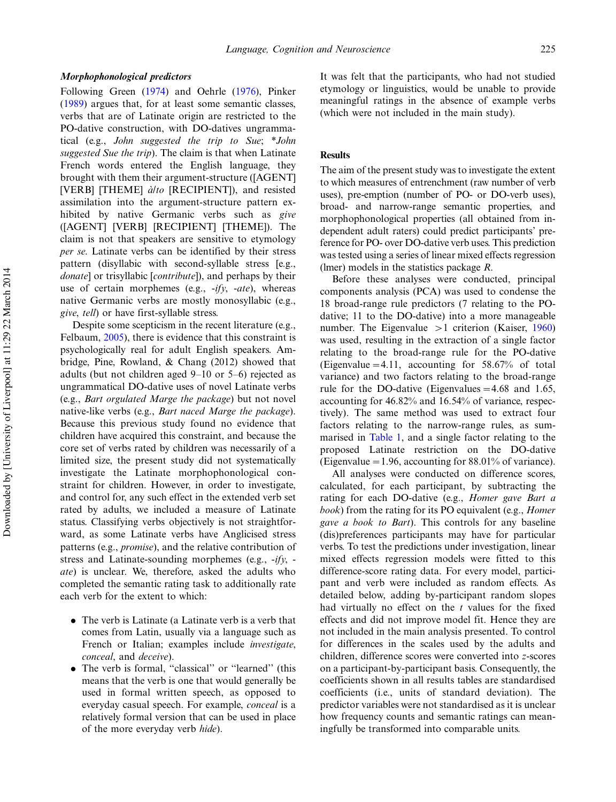#### Morphophonological predictors

Following Green ([1974\)](#page-25-0) and Oehrle [\(1976](#page-25-0)), Pinker ([1989\)](#page-25-0) argues that, for at least some semantic classes, verbs that are of Latinate origin are restricted to the PO-dative construction, with DO-datives ungrammatical (e.g., John suggested the trip to Sue; \*John suggested Sue the trip). The claim is that when Latinate French words entered the English language, they brought with them their argument-structure ([AGENT] [VERB] [THEME]  $\hat{a}/t\sigma$  [RECIPIENT]), and resisted assimilation into the argument-structure pattern exhibited by native Germanic verbs such as give ([AGENT] [VERB] [RECIPIENT] [THEME]). The claim is not that speakers are sensitive to etymology per se. Latinate verbs can be identified by their stress pattern (disyllabic with second-syllable stress [e.g., donate] or trisyllabic [*contribute*]), and perhaps by their use of certain morphemes (e.g., -ify, -ate), whereas native Germanic verbs are mostly monosyllabic (e.g., give, tell) or have first-syllable stress.

Despite some scepticism in the recent literature (e.g., Felbaum, [2005\)](#page-24-0), there is evidence that this constraint is psychologically real for adult English speakers. Ambridge, Pine, Rowland, & Chang (2012) showed that adults (but not children aged  $9-10$  or  $5-6$ ) rejected as ungrammatical DO-dative uses of novel Latinate verbs (e.g., Bart orgulated Marge the package) but not novel native-like verbs (e.g., Bart naced Marge the package). Because this previous study found no evidence that children have acquired this constraint, and because the core set of verbs rated by children was necessarily of a limited size, the present study did not systematically investigate the Latinate morphophonological constraint for children. However, in order to investigate, and control for, any such effect in the extended verb set rated by adults, we included a measure of Latinate status. Classifying verbs objectively is not straightforward, as some Latinate verbs have Anglicised stress patterns (e.g., promise), and the relative contribution of stress and Latinate-sounding morphemes (e.g., -ify, ate) is unclear. We, therefore, asked the adults who completed the semantic rating task to additionally rate each verb for the extent to which:

- . The verb is Latinate (a Latinate verb is a verb that comes from Latin, usually via a language such as French or Italian; examples include investigate, conceal, and deceive).
- . The verb is formal, ''classical'' or ''learned'' (this means that the verb is one that would generally be used in formal written speech, as opposed to everyday casual speech. For example, conceal is a relatively formal version that can be used in place of the more everyday verb hide).

It was felt that the participants, who had not studied etymology or linguistics, would be unable to provide meaningful ratings in the absence of example verbs (which were not included in the main study).

### **Results**

The aim of the present study was to investigate the extent to which measures of entrenchment (raw number of verb uses), pre-emption (number of PO- or DO-verb uses), broad- and narrow-range semantic properties, and morphophonological properties (all obtained from independent adult raters) could predict participants' preference for PO- over DO-dative verb uses. This prediction was tested using a series of linear mixed effects regression (lmer) models in the statistics package *.* 

Before these analyses were conducted, principal components analysis (PCA) was used to condense the 18 broad-range rule predictors (7 relating to the POdative; 11 to the DO-dative) into a more manageable number. The Eigenvalue  $>1$  criterion (Kaiser, [1960](#page-25-0)) was used, resulting in the extraction of a single factor relating to the broad-range rule for the PO-dative (Eigenvalue  $=4.11$ , accounting for 58.67% of total variance) and two factors relating to the broad-range rule for the DO-dative (Eigenvalues  $=4.68$  and 1.65, accounting for 46.82% and 16.54% of variance, respectively). The same method was used to extract four factors relating to the narrow-range rules, as summarised in [Table 1](#page-8-0), and a single factor relating to the proposed Latinate restriction on the DO-dative (Eigenvalue  $= 1.96$ , accounting for 88.01% of variance).

All analyses were conducted on difference scores, calculated, for each participant, by subtracting the rating for each DO-dative (e.g., Homer gave Bart a book) from the rating for its PO equivalent (e.g., *Homer* gave a book to Bart). This controls for any baseline (dis)preferences participants may have for particular verbs. To test the predictions under investigation, linear mixed effects regression models were fitted to this difference-score rating data. For every model, participant and verb were included as random effects. As detailed below, adding by-participant random slopes had virtually no effect on the  $t$  values for the fixed effects and did not improve model fit. Hence they are not included in the main analysis presented. To control for differences in the scales used by the adults and children, difference scores were converted into z-scores on a participant-by-participant basis. Consequently, the coefficients shown in all results tables are standardised coefficients (i.e., units of standard deviation). The predictor variables were not standardised as it is unclear how frequency counts and semantic ratings can meaningfully be transformed into comparable units.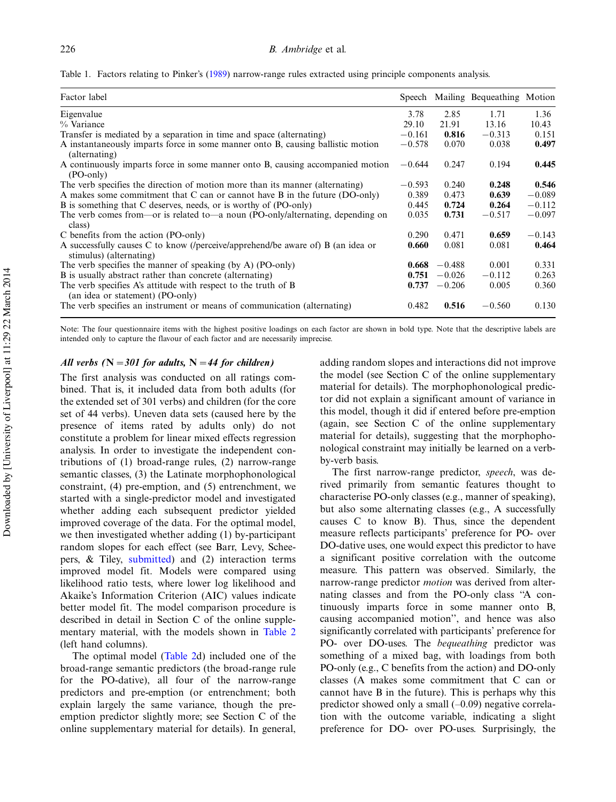<span id="page-8-0"></span>Table 1. Factors relating to Pinker's ([1989\)](#page-25-0) narrow-range rules extracted using principle components analysis.

| Factor label                                                                                               | Speech   |          | Mailing Bequeathing Motion |          |
|------------------------------------------------------------------------------------------------------------|----------|----------|----------------------------|----------|
| Eigenvalue                                                                                                 | 3.78     | 2.85     | 1.71                       | 1.36     |
| % Variance                                                                                                 | 29.10    | 21.91    | 13.16                      | 10.43    |
| Transfer is mediated by a separation in time and space (alternating)                                       | $-0.161$ | 0.816    | $-0.313$                   | 0.151    |
| A instantaneously imparts force in some manner onto B, causing ballistic motion<br>(alternating)           | $-0.578$ | 0.070    | 0.038                      | 0.497    |
| A continuously imparts force in some manner onto B, causing accompanied motion<br>(PO-only)                | $-0.644$ | 0.247    | 0.194                      | 0.445    |
| The verb specifies the direction of motion more than its manner (alternating)                              | $-0.593$ | 0.240    | 0.248                      | 0.546    |
| A makes some commitment that C can or cannot have B in the future (DO-only)                                | 0.389    | 0.473    | 0.639                      | $-0.089$ |
| <b>B</b> is something that C deserves, needs, or is worthy of (PO-only)                                    | 0.445    | 0.724    | 0.264                      | $-0.112$ |
| The verb comes from—or is related to—a noun (PO-only/alternating, depending on<br>class)                   | 0.035    | 0.731    | $-0.517$                   | $-0.097$ |
| C benefits from the action (PO-only)                                                                       | 0.290    | 0.471    | 0.659                      | $-0.143$ |
| A successfully causes C to know (/perceive/apprehend/be aware of) B (an idea or<br>stimulus) (alternating) | 0.660    | 0.081    | 0.081                      | 0.464    |
| The verb specifies the manner of speaking (by A) (PO-only)                                                 | 0.668    | $-0.488$ | 0.001                      | 0.331    |
| B is usually abstract rather than concrete (alternating)                                                   | 0.751    | $-0.026$ | $-0.112$                   | 0.263    |
| The verb specifies A's attitude with respect to the truth of B<br>(an idea or statement) (PO-only)         | 0.737    | $-0.206$ | 0.005                      | 0.360    |
| The verb specifies an instrument or means of communication (alternating)                                   | 0.482    | 0.516    | $-0.560$                   | 0.130    |

Note: The four questionnaire items with the highest positive loadings on each factor are shown in bold type. Note that the descriptive labels are intended only to capture the flavour of each factor and are necessarily imprecise.

# All verbs ( $N = 301$  for adults,  $N = 44$  for children)

The first analysis was conducted on all ratings combined. That is, it included data from both adults (for the extended set of 301 verbs) and children (for the core set of 44 verbs). Uneven data sets (caused here by the presence of items rated by adults only) do not constitute a problem for linear mixed effects regression analysis. In order to investigate the independent contributions of (1) broad-range rules, (2) narrow-range semantic classes, (3) the Latinate morphophonological constraint, (4) pre-emption, and (5) entrenchment, we started with a single-predictor model and investigated whether adding each subsequent predictor yielded improved coverage of the data. For the optimal model, we then investigated whether adding (1) by-participant random slopes for each effect (see Barr, Levy, Scheepers, & Tiley, [submitted\)](#page-24-0) and (2) interaction terms improved model fit. Models were compared using likelihood ratio tests, where lower log likelihood and Akaike's Information Criterion (AIC) values indicate better model fit. The model comparison procedure is described in detail in Section C of the online supplementary material, with the models shown in [Table 2](#page-9-0) (left hand columns).

The optimal model ([Table 2](#page-9-0)d) included one of the broad-range semantic predictors (the broad-range rule for the PO-dative), all four of the narrow-range predictors and pre-emption (or entrenchment; both explain largely the same variance, though the preemption predictor slightly more; see Section C of the online supplementary material for details). In general,

adding random slopes and interactions did not improve the model (see Section C of the online supplementary material for details). The morphophonological predictor did not explain a significant amount of variance in this model, though it did if entered before pre-emption (again, see Section C of the online supplementary material for details), suggesting that the morphophonological constraint may initially be learned on a verbby-verb basis.

The first narrow-range predictor, speech, was derived primarily from semantic features thought to characterise PO-only classes (e.g., manner of speaking), but also some alternating classes (e.g., A successfully causes C to know B). Thus, since the dependent measure reflects participants' preference for PO- over DO-dative uses, one would expect this predictor to have a significant positive correlation with the outcome measure. This pattern was observed. Similarly, the narrow-range predictor *motion* was derived from alternating classes and from the PO-only class ''A continuously imparts force in some manner onto B, causing accompanied motion'', and hence was also significantly correlated with participants' preference for PO- over DO-uses. The *bequeathing* predictor was something of a mixed bag, with loadings from both PO-only (e.g., C benefits from the action) and DO-only classes (A makes some commitment that C can or cannot have B in the future). This is perhaps why this predictor showed only a small  $(-0.09)$  negative correlation with the outcome variable, indicating a slight preference for DO- over PO-uses. Surprisingly, the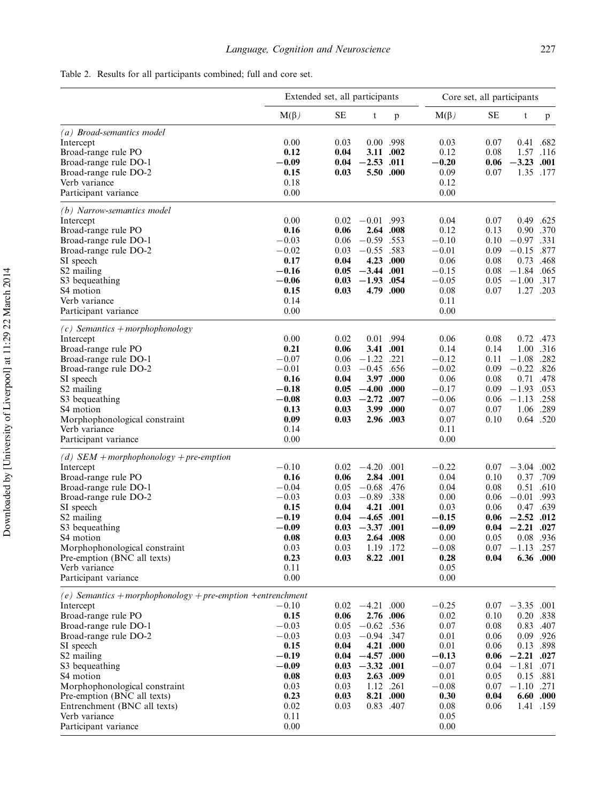<span id="page-9-0"></span>

|  |  |  | Table 2. Results for all participants combined; full and core set. |  |  |  |  |
|--|--|--|--------------------------------------------------------------------|--|--|--|--|
|--|--|--|--------------------------------------------------------------------|--|--|--|--|

| <b>SE</b><br>$M(\beta)$<br><b>SE</b><br>$M(\beta)$<br>t<br>t<br>p<br>p<br>(a) Broad-semantics model<br>0.00<br>0.00 .998<br>Intercept<br>0.03<br>0.03<br>0.07<br>0.41 .682<br>0.12<br>3.11 .002<br>0.12<br>0.08<br>1.57<br>Broad-range rule PO<br>0.04<br>.116<br>$-0.09$<br>Broad-range rule DO-1<br>0.04<br>$-2.53$ .011<br>$-0.20$<br>0.06<br>$-3.23$<br>.001<br>Broad-range rule DO-2<br>5.50 .000<br>0.09<br>0.07<br>1.35 .177<br>0.15<br>0.03<br>Verb variance<br>0.18<br>0.12<br>0.00<br>0.00<br>Participant variance<br>(b) Narrow-semantics model<br>0.00<br>0.02<br>$-0.01$ .993<br>0.04<br>0.07<br>0.49<br>.625<br>Intercept<br>0.90<br>Broad-range rule PO<br>0.16<br>0.06<br>2.64<br>.008<br>0.12<br>0.13<br>.370<br>Broad-range rule DO-1<br>$-0.03$<br>0.06<br>$-0.59$ .553<br>$-0.10$<br>0.10<br>.331<br>$-0.97$<br>$-0.02$<br>$-0.55$ .583<br>$-0.01$<br>0.09<br>$-0.15$<br>.877<br>Broad-range rule DO-2<br>0.03<br>0.08<br>SI speech<br>0.17<br>4.23<br>.000<br>0.06<br>0.73<br>.468<br>0.04<br>S2 mailing<br>$-0.16$<br>0.05<br>$-3.44$ .001<br>$-0.15$<br>0.08<br>$-1.84$ .065<br>S3 bequeathing<br>$-0.06$<br>$-1.93$ .054<br>$-0.05$<br>0.05<br>$-1.00$<br>.317<br>0.03<br>4.79 .000<br>0.07<br>1.27<br>.203<br>S4 motion<br>0.15<br>0.08<br>0.03<br>Verb variance<br>0.14<br>0.11<br>0.00<br>0.00<br>Participant variance<br>$(c)$ Semantics + morphophonology<br>0.00<br>0.02<br>0.01 .994<br>0.06<br>0.08<br>0.72<br>.473<br>Intercept<br>Broad-range rule PO<br>0.21<br>0.06<br>3.41 .001<br>0.14<br>0.14<br>.316<br>1.00<br>$-0.07$<br>.221<br>$-0.12$<br>.282<br>Broad-range rule DO-1<br>0.06<br>$-1.22$<br>0.11<br>$-1.08$<br>$-0.01$<br>$-0.45$ .656<br>$-0.02$<br>0.09<br>$-0.22$ .826<br>Broad-range rule DO-2<br>0.03<br>SI speech<br>0.16<br>0.04<br>3.97 .000<br>0.06<br>0.08<br>0.71<br>.478<br>$-0.18$<br>S2 mailing<br>$-4.00$ .000<br>$-0.17$<br>0.09<br>$-1.93$<br>.053<br>0.05<br>$-0.08$<br>$-2.72$<br>0.06<br>.258<br>S3 bequeathing<br>0.03<br>.007<br>$-0.06$<br>$-1.13$<br>3.99<br>.000<br>0.07<br>1.06 .289<br>S4 motion<br>0.13<br>0.03<br>0.07<br>0.09<br>0.07<br>0.10<br>0.64 .520<br>0.03<br>2.96 .003<br>Morphophonological constraint<br>Verb variance<br>0.14<br>0.11<br>0.00<br>0.00<br>Participant variance<br>(d) $SEM + morphophonology + pre-emption$<br>$-0.10$<br>$-4.20$<br>.001<br>$-0.22$<br>$-3.04$<br>.002<br>0.02<br>0.07<br>Intercept<br>0.16<br>0.04<br>Broad-range rule PO<br>0.06<br>2.84 .001<br>0.10<br>0.37<br>.709<br>Broad-range rule DO-1<br>$-0.04$<br>$-0.68$<br>.476<br>0.04<br>0.08<br>0.51 .610<br>0.05<br>$-0.03$<br>$-0.89$<br>.338<br>0.00<br>0.06<br>.993<br>Broad-range rule DO-2<br>0.03<br>$-0.01$<br>SI speech<br>0.15<br>0.04<br>4.21 .001<br>0.03<br>0.06<br>0.47 .639<br>S2 mailing<br>$-0.19$<br>$-4.65$ .001<br>$-0.15$<br>$0.06 -2.52 .012$<br>0.04<br>S3 bequeathing<br>$-0.09$<br>$-3.37.001$<br>$-0.09$<br>0.04<br>$-2.21$ .027<br>0.03<br>S4 motion<br>0.08<br>2.64 .008<br>0.00<br>0.05<br>0.08 .936<br>0.03<br>Morphophonological constraint<br>0.03<br>0.03<br>1.19 .172<br>$-0.08$<br>$0.07 -1.13$ .257<br>Pre-emption (BNC all texts)<br>0.23<br>0.03<br>8.22 .001<br>0.28<br>0.04<br>6.36 .000<br>0.11<br>0.05<br>Verb variance<br>0.00<br>Participant variance<br>0.00<br>$(e)$ Semantics + morphophonology + pre-emption + entrenchment<br>$-4.21$ .000<br>$-0.25$<br>$-3.35$ .001<br>$-0.10$<br>0.02<br>0.07<br>Intercept<br>Broad-range rule PO<br>0.15<br>2.76 .006<br>0.02<br>.838<br>0.06<br>0.10<br>0.20<br>Broad-range rule DO-1<br>$-0.03$<br>$-0.62$ .536<br>0.07<br>0.08<br>0.83 .407<br>0.05<br>$-0.94$ .347<br>0.06<br>0.09 .926<br>Broad-range rule DO-2<br>$-0.03$<br>0.03<br>0.01<br>0.04<br>0.01<br>0.06<br>0.13 .898<br>SI speech<br>0.15<br>4.21 .000<br>S2 mailing<br>$-0.19$<br>$-4.57$ .000<br>$-2.21$ .027<br>0.04<br>$-0.13$<br>0.06<br>S3 bequeathing<br>$-0.09$<br>$-3.32$ .001<br>$-0.07$<br>0.04<br>$-1.81$ .071<br>0.03<br>S4 motion<br>0.08<br>2.63 .009<br>0.01<br>0.05<br>0.15 .881<br>0.03<br>Morphophonological constraint<br>0.03<br>1.12 .261<br>$-0.08$<br>0.07<br>0.03<br>$-1.10$ .271<br>Pre-emption (BNC all texts)<br>0.23<br>0.03<br>8.21 .000<br>0.30<br>0.04<br>6.60 .000<br>Entrenchment (BNC all texts)<br>0.02<br>0.03<br>0.83 .407<br>0.06<br>0.08<br>1.41 .159<br>0.11<br>Verb variance<br>0.05<br>$0.00\,$<br>0.00 |                      | Extended set, all participants |  | Core set, all participants |  |
|-----------------------------------------------------------------------------------------------------------------------------------------------------------------------------------------------------------------------------------------------------------------------------------------------------------------------------------------------------------------------------------------------------------------------------------------------------------------------------------------------------------------------------------------------------------------------------------------------------------------------------------------------------------------------------------------------------------------------------------------------------------------------------------------------------------------------------------------------------------------------------------------------------------------------------------------------------------------------------------------------------------------------------------------------------------------------------------------------------------------------------------------------------------------------------------------------------------------------------------------------------------------------------------------------------------------------------------------------------------------------------------------------------------------------------------------------------------------------------------------------------------------------------------------------------------------------------------------------------------------------------------------------------------------------------------------------------------------------------------------------------------------------------------------------------------------------------------------------------------------------------------------------------------------------------------------------------------------------------------------------------------------------------------------------------------------------------------------------------------------------------------------------------------------------------------------------------------------------------------------------------------------------------------------------------------------------------------------------------------------------------------------------------------------------------------------------------------------------------------------------------------------------------------------------------------------------------------------------------------------------------------------------------------------------------------------------------------------------------------------------------------------------------------------------------------------------------------------------------------------------------------------------------------------------------------------------------------------------------------------------------------------------------------------------------------------------------------------------------------------------------------------------------------------------------------------------------------------------------------------------------------------------------------------------------------------------------------------------------------------------------------------------------------------------------------------------------------------------------------------------------------------------------------------------------------------------------------------------------------------------------------------------------------------------------------------------------------------------------------------------------------------------------------------------------------------------------------------------------------------------------------------------------------------------------------------------------------------------------------------------------------------------------------------------------------------------------------------------------------------------------------------------------------------------------------------------------------------------------------------------------------------------------------------------------------------------------------------------------------------------------------|----------------------|--------------------------------|--|----------------------------|--|
|                                                                                                                                                                                                                                                                                                                                                                                                                                                                                                                                                                                                                                                                                                                                                                                                                                                                                                                                                                                                                                                                                                                                                                                                                                                                                                                                                                                                                                                                                                                                                                                                                                                                                                                                                                                                                                                                                                                                                                                                                                                                                                                                                                                                                                                                                                                                                                                                                                                                                                                                                                                                                                                                                                                                                                                                                                                                                                                                                                                                                                                                                                                                                                                                                                                                                                                                                                                                                                                                                                                                                                                                                                                                                                                                                                                                                                                                                                                                                                                                                                                                                                                                                                                                                                                                                                                                                                                   |                      |                                |  |                            |  |
|                                                                                                                                                                                                                                                                                                                                                                                                                                                                                                                                                                                                                                                                                                                                                                                                                                                                                                                                                                                                                                                                                                                                                                                                                                                                                                                                                                                                                                                                                                                                                                                                                                                                                                                                                                                                                                                                                                                                                                                                                                                                                                                                                                                                                                                                                                                                                                                                                                                                                                                                                                                                                                                                                                                                                                                                                                                                                                                                                                                                                                                                                                                                                                                                                                                                                                                                                                                                                                                                                                                                                                                                                                                                                                                                                                                                                                                                                                                                                                                                                                                                                                                                                                                                                                                                                                                                                                                   |                      |                                |  |                            |  |
|                                                                                                                                                                                                                                                                                                                                                                                                                                                                                                                                                                                                                                                                                                                                                                                                                                                                                                                                                                                                                                                                                                                                                                                                                                                                                                                                                                                                                                                                                                                                                                                                                                                                                                                                                                                                                                                                                                                                                                                                                                                                                                                                                                                                                                                                                                                                                                                                                                                                                                                                                                                                                                                                                                                                                                                                                                                                                                                                                                                                                                                                                                                                                                                                                                                                                                                                                                                                                                                                                                                                                                                                                                                                                                                                                                                                                                                                                                                                                                                                                                                                                                                                                                                                                                                                                                                                                                                   |                      |                                |  |                            |  |
|                                                                                                                                                                                                                                                                                                                                                                                                                                                                                                                                                                                                                                                                                                                                                                                                                                                                                                                                                                                                                                                                                                                                                                                                                                                                                                                                                                                                                                                                                                                                                                                                                                                                                                                                                                                                                                                                                                                                                                                                                                                                                                                                                                                                                                                                                                                                                                                                                                                                                                                                                                                                                                                                                                                                                                                                                                                                                                                                                                                                                                                                                                                                                                                                                                                                                                                                                                                                                                                                                                                                                                                                                                                                                                                                                                                                                                                                                                                                                                                                                                                                                                                                                                                                                                                                                                                                                                                   |                      |                                |  |                            |  |
|                                                                                                                                                                                                                                                                                                                                                                                                                                                                                                                                                                                                                                                                                                                                                                                                                                                                                                                                                                                                                                                                                                                                                                                                                                                                                                                                                                                                                                                                                                                                                                                                                                                                                                                                                                                                                                                                                                                                                                                                                                                                                                                                                                                                                                                                                                                                                                                                                                                                                                                                                                                                                                                                                                                                                                                                                                                                                                                                                                                                                                                                                                                                                                                                                                                                                                                                                                                                                                                                                                                                                                                                                                                                                                                                                                                                                                                                                                                                                                                                                                                                                                                                                                                                                                                                                                                                                                                   |                      |                                |  |                            |  |
|                                                                                                                                                                                                                                                                                                                                                                                                                                                                                                                                                                                                                                                                                                                                                                                                                                                                                                                                                                                                                                                                                                                                                                                                                                                                                                                                                                                                                                                                                                                                                                                                                                                                                                                                                                                                                                                                                                                                                                                                                                                                                                                                                                                                                                                                                                                                                                                                                                                                                                                                                                                                                                                                                                                                                                                                                                                                                                                                                                                                                                                                                                                                                                                                                                                                                                                                                                                                                                                                                                                                                                                                                                                                                                                                                                                                                                                                                                                                                                                                                                                                                                                                                                                                                                                                                                                                                                                   |                      |                                |  |                            |  |
|                                                                                                                                                                                                                                                                                                                                                                                                                                                                                                                                                                                                                                                                                                                                                                                                                                                                                                                                                                                                                                                                                                                                                                                                                                                                                                                                                                                                                                                                                                                                                                                                                                                                                                                                                                                                                                                                                                                                                                                                                                                                                                                                                                                                                                                                                                                                                                                                                                                                                                                                                                                                                                                                                                                                                                                                                                                                                                                                                                                                                                                                                                                                                                                                                                                                                                                                                                                                                                                                                                                                                                                                                                                                                                                                                                                                                                                                                                                                                                                                                                                                                                                                                                                                                                                                                                                                                                                   |                      |                                |  |                            |  |
|                                                                                                                                                                                                                                                                                                                                                                                                                                                                                                                                                                                                                                                                                                                                                                                                                                                                                                                                                                                                                                                                                                                                                                                                                                                                                                                                                                                                                                                                                                                                                                                                                                                                                                                                                                                                                                                                                                                                                                                                                                                                                                                                                                                                                                                                                                                                                                                                                                                                                                                                                                                                                                                                                                                                                                                                                                                                                                                                                                                                                                                                                                                                                                                                                                                                                                                                                                                                                                                                                                                                                                                                                                                                                                                                                                                                                                                                                                                                                                                                                                                                                                                                                                                                                                                                                                                                                                                   |                      |                                |  |                            |  |
|                                                                                                                                                                                                                                                                                                                                                                                                                                                                                                                                                                                                                                                                                                                                                                                                                                                                                                                                                                                                                                                                                                                                                                                                                                                                                                                                                                                                                                                                                                                                                                                                                                                                                                                                                                                                                                                                                                                                                                                                                                                                                                                                                                                                                                                                                                                                                                                                                                                                                                                                                                                                                                                                                                                                                                                                                                                                                                                                                                                                                                                                                                                                                                                                                                                                                                                                                                                                                                                                                                                                                                                                                                                                                                                                                                                                                                                                                                                                                                                                                                                                                                                                                                                                                                                                                                                                                                                   |                      |                                |  |                            |  |
|                                                                                                                                                                                                                                                                                                                                                                                                                                                                                                                                                                                                                                                                                                                                                                                                                                                                                                                                                                                                                                                                                                                                                                                                                                                                                                                                                                                                                                                                                                                                                                                                                                                                                                                                                                                                                                                                                                                                                                                                                                                                                                                                                                                                                                                                                                                                                                                                                                                                                                                                                                                                                                                                                                                                                                                                                                                                                                                                                                                                                                                                                                                                                                                                                                                                                                                                                                                                                                                                                                                                                                                                                                                                                                                                                                                                                                                                                                                                                                                                                                                                                                                                                                                                                                                                                                                                                                                   |                      |                                |  |                            |  |
|                                                                                                                                                                                                                                                                                                                                                                                                                                                                                                                                                                                                                                                                                                                                                                                                                                                                                                                                                                                                                                                                                                                                                                                                                                                                                                                                                                                                                                                                                                                                                                                                                                                                                                                                                                                                                                                                                                                                                                                                                                                                                                                                                                                                                                                                                                                                                                                                                                                                                                                                                                                                                                                                                                                                                                                                                                                                                                                                                                                                                                                                                                                                                                                                                                                                                                                                                                                                                                                                                                                                                                                                                                                                                                                                                                                                                                                                                                                                                                                                                                                                                                                                                                                                                                                                                                                                                                                   |                      |                                |  |                            |  |
|                                                                                                                                                                                                                                                                                                                                                                                                                                                                                                                                                                                                                                                                                                                                                                                                                                                                                                                                                                                                                                                                                                                                                                                                                                                                                                                                                                                                                                                                                                                                                                                                                                                                                                                                                                                                                                                                                                                                                                                                                                                                                                                                                                                                                                                                                                                                                                                                                                                                                                                                                                                                                                                                                                                                                                                                                                                                                                                                                                                                                                                                                                                                                                                                                                                                                                                                                                                                                                                                                                                                                                                                                                                                                                                                                                                                                                                                                                                                                                                                                                                                                                                                                                                                                                                                                                                                                                                   |                      |                                |  |                            |  |
|                                                                                                                                                                                                                                                                                                                                                                                                                                                                                                                                                                                                                                                                                                                                                                                                                                                                                                                                                                                                                                                                                                                                                                                                                                                                                                                                                                                                                                                                                                                                                                                                                                                                                                                                                                                                                                                                                                                                                                                                                                                                                                                                                                                                                                                                                                                                                                                                                                                                                                                                                                                                                                                                                                                                                                                                                                                                                                                                                                                                                                                                                                                                                                                                                                                                                                                                                                                                                                                                                                                                                                                                                                                                                                                                                                                                                                                                                                                                                                                                                                                                                                                                                                                                                                                                                                                                                                                   |                      |                                |  |                            |  |
|                                                                                                                                                                                                                                                                                                                                                                                                                                                                                                                                                                                                                                                                                                                                                                                                                                                                                                                                                                                                                                                                                                                                                                                                                                                                                                                                                                                                                                                                                                                                                                                                                                                                                                                                                                                                                                                                                                                                                                                                                                                                                                                                                                                                                                                                                                                                                                                                                                                                                                                                                                                                                                                                                                                                                                                                                                                                                                                                                                                                                                                                                                                                                                                                                                                                                                                                                                                                                                                                                                                                                                                                                                                                                                                                                                                                                                                                                                                                                                                                                                                                                                                                                                                                                                                                                                                                                                                   |                      |                                |  |                            |  |
|                                                                                                                                                                                                                                                                                                                                                                                                                                                                                                                                                                                                                                                                                                                                                                                                                                                                                                                                                                                                                                                                                                                                                                                                                                                                                                                                                                                                                                                                                                                                                                                                                                                                                                                                                                                                                                                                                                                                                                                                                                                                                                                                                                                                                                                                                                                                                                                                                                                                                                                                                                                                                                                                                                                                                                                                                                                                                                                                                                                                                                                                                                                                                                                                                                                                                                                                                                                                                                                                                                                                                                                                                                                                                                                                                                                                                                                                                                                                                                                                                                                                                                                                                                                                                                                                                                                                                                                   |                      |                                |  |                            |  |
|                                                                                                                                                                                                                                                                                                                                                                                                                                                                                                                                                                                                                                                                                                                                                                                                                                                                                                                                                                                                                                                                                                                                                                                                                                                                                                                                                                                                                                                                                                                                                                                                                                                                                                                                                                                                                                                                                                                                                                                                                                                                                                                                                                                                                                                                                                                                                                                                                                                                                                                                                                                                                                                                                                                                                                                                                                                                                                                                                                                                                                                                                                                                                                                                                                                                                                                                                                                                                                                                                                                                                                                                                                                                                                                                                                                                                                                                                                                                                                                                                                                                                                                                                                                                                                                                                                                                                                                   |                      |                                |  |                            |  |
|                                                                                                                                                                                                                                                                                                                                                                                                                                                                                                                                                                                                                                                                                                                                                                                                                                                                                                                                                                                                                                                                                                                                                                                                                                                                                                                                                                                                                                                                                                                                                                                                                                                                                                                                                                                                                                                                                                                                                                                                                                                                                                                                                                                                                                                                                                                                                                                                                                                                                                                                                                                                                                                                                                                                                                                                                                                                                                                                                                                                                                                                                                                                                                                                                                                                                                                                                                                                                                                                                                                                                                                                                                                                                                                                                                                                                                                                                                                                                                                                                                                                                                                                                                                                                                                                                                                                                                                   |                      |                                |  |                            |  |
|                                                                                                                                                                                                                                                                                                                                                                                                                                                                                                                                                                                                                                                                                                                                                                                                                                                                                                                                                                                                                                                                                                                                                                                                                                                                                                                                                                                                                                                                                                                                                                                                                                                                                                                                                                                                                                                                                                                                                                                                                                                                                                                                                                                                                                                                                                                                                                                                                                                                                                                                                                                                                                                                                                                                                                                                                                                                                                                                                                                                                                                                                                                                                                                                                                                                                                                                                                                                                                                                                                                                                                                                                                                                                                                                                                                                                                                                                                                                                                                                                                                                                                                                                                                                                                                                                                                                                                                   |                      |                                |  |                            |  |
|                                                                                                                                                                                                                                                                                                                                                                                                                                                                                                                                                                                                                                                                                                                                                                                                                                                                                                                                                                                                                                                                                                                                                                                                                                                                                                                                                                                                                                                                                                                                                                                                                                                                                                                                                                                                                                                                                                                                                                                                                                                                                                                                                                                                                                                                                                                                                                                                                                                                                                                                                                                                                                                                                                                                                                                                                                                                                                                                                                                                                                                                                                                                                                                                                                                                                                                                                                                                                                                                                                                                                                                                                                                                                                                                                                                                                                                                                                                                                                                                                                                                                                                                                                                                                                                                                                                                                                                   |                      |                                |  |                            |  |
|                                                                                                                                                                                                                                                                                                                                                                                                                                                                                                                                                                                                                                                                                                                                                                                                                                                                                                                                                                                                                                                                                                                                                                                                                                                                                                                                                                                                                                                                                                                                                                                                                                                                                                                                                                                                                                                                                                                                                                                                                                                                                                                                                                                                                                                                                                                                                                                                                                                                                                                                                                                                                                                                                                                                                                                                                                                                                                                                                                                                                                                                                                                                                                                                                                                                                                                                                                                                                                                                                                                                                                                                                                                                                                                                                                                                                                                                                                                                                                                                                                                                                                                                                                                                                                                                                                                                                                                   |                      |                                |  |                            |  |
|                                                                                                                                                                                                                                                                                                                                                                                                                                                                                                                                                                                                                                                                                                                                                                                                                                                                                                                                                                                                                                                                                                                                                                                                                                                                                                                                                                                                                                                                                                                                                                                                                                                                                                                                                                                                                                                                                                                                                                                                                                                                                                                                                                                                                                                                                                                                                                                                                                                                                                                                                                                                                                                                                                                                                                                                                                                                                                                                                                                                                                                                                                                                                                                                                                                                                                                                                                                                                                                                                                                                                                                                                                                                                                                                                                                                                                                                                                                                                                                                                                                                                                                                                                                                                                                                                                                                                                                   |                      |                                |  |                            |  |
|                                                                                                                                                                                                                                                                                                                                                                                                                                                                                                                                                                                                                                                                                                                                                                                                                                                                                                                                                                                                                                                                                                                                                                                                                                                                                                                                                                                                                                                                                                                                                                                                                                                                                                                                                                                                                                                                                                                                                                                                                                                                                                                                                                                                                                                                                                                                                                                                                                                                                                                                                                                                                                                                                                                                                                                                                                                                                                                                                                                                                                                                                                                                                                                                                                                                                                                                                                                                                                                                                                                                                                                                                                                                                                                                                                                                                                                                                                                                                                                                                                                                                                                                                                                                                                                                                                                                                                                   |                      |                                |  |                            |  |
|                                                                                                                                                                                                                                                                                                                                                                                                                                                                                                                                                                                                                                                                                                                                                                                                                                                                                                                                                                                                                                                                                                                                                                                                                                                                                                                                                                                                                                                                                                                                                                                                                                                                                                                                                                                                                                                                                                                                                                                                                                                                                                                                                                                                                                                                                                                                                                                                                                                                                                                                                                                                                                                                                                                                                                                                                                                                                                                                                                                                                                                                                                                                                                                                                                                                                                                                                                                                                                                                                                                                                                                                                                                                                                                                                                                                                                                                                                                                                                                                                                                                                                                                                                                                                                                                                                                                                                                   |                      |                                |  |                            |  |
|                                                                                                                                                                                                                                                                                                                                                                                                                                                                                                                                                                                                                                                                                                                                                                                                                                                                                                                                                                                                                                                                                                                                                                                                                                                                                                                                                                                                                                                                                                                                                                                                                                                                                                                                                                                                                                                                                                                                                                                                                                                                                                                                                                                                                                                                                                                                                                                                                                                                                                                                                                                                                                                                                                                                                                                                                                                                                                                                                                                                                                                                                                                                                                                                                                                                                                                                                                                                                                                                                                                                                                                                                                                                                                                                                                                                                                                                                                                                                                                                                                                                                                                                                                                                                                                                                                                                                                                   |                      |                                |  |                            |  |
|                                                                                                                                                                                                                                                                                                                                                                                                                                                                                                                                                                                                                                                                                                                                                                                                                                                                                                                                                                                                                                                                                                                                                                                                                                                                                                                                                                                                                                                                                                                                                                                                                                                                                                                                                                                                                                                                                                                                                                                                                                                                                                                                                                                                                                                                                                                                                                                                                                                                                                                                                                                                                                                                                                                                                                                                                                                                                                                                                                                                                                                                                                                                                                                                                                                                                                                                                                                                                                                                                                                                                                                                                                                                                                                                                                                                                                                                                                                                                                                                                                                                                                                                                                                                                                                                                                                                                                                   |                      |                                |  |                            |  |
|                                                                                                                                                                                                                                                                                                                                                                                                                                                                                                                                                                                                                                                                                                                                                                                                                                                                                                                                                                                                                                                                                                                                                                                                                                                                                                                                                                                                                                                                                                                                                                                                                                                                                                                                                                                                                                                                                                                                                                                                                                                                                                                                                                                                                                                                                                                                                                                                                                                                                                                                                                                                                                                                                                                                                                                                                                                                                                                                                                                                                                                                                                                                                                                                                                                                                                                                                                                                                                                                                                                                                                                                                                                                                                                                                                                                                                                                                                                                                                                                                                                                                                                                                                                                                                                                                                                                                                                   |                      |                                |  |                            |  |
|                                                                                                                                                                                                                                                                                                                                                                                                                                                                                                                                                                                                                                                                                                                                                                                                                                                                                                                                                                                                                                                                                                                                                                                                                                                                                                                                                                                                                                                                                                                                                                                                                                                                                                                                                                                                                                                                                                                                                                                                                                                                                                                                                                                                                                                                                                                                                                                                                                                                                                                                                                                                                                                                                                                                                                                                                                                                                                                                                                                                                                                                                                                                                                                                                                                                                                                                                                                                                                                                                                                                                                                                                                                                                                                                                                                                                                                                                                                                                                                                                                                                                                                                                                                                                                                                                                                                                                                   |                      |                                |  |                            |  |
|                                                                                                                                                                                                                                                                                                                                                                                                                                                                                                                                                                                                                                                                                                                                                                                                                                                                                                                                                                                                                                                                                                                                                                                                                                                                                                                                                                                                                                                                                                                                                                                                                                                                                                                                                                                                                                                                                                                                                                                                                                                                                                                                                                                                                                                                                                                                                                                                                                                                                                                                                                                                                                                                                                                                                                                                                                                                                                                                                                                                                                                                                                                                                                                                                                                                                                                                                                                                                                                                                                                                                                                                                                                                                                                                                                                                                                                                                                                                                                                                                                                                                                                                                                                                                                                                                                                                                                                   |                      |                                |  |                            |  |
|                                                                                                                                                                                                                                                                                                                                                                                                                                                                                                                                                                                                                                                                                                                                                                                                                                                                                                                                                                                                                                                                                                                                                                                                                                                                                                                                                                                                                                                                                                                                                                                                                                                                                                                                                                                                                                                                                                                                                                                                                                                                                                                                                                                                                                                                                                                                                                                                                                                                                                                                                                                                                                                                                                                                                                                                                                                                                                                                                                                                                                                                                                                                                                                                                                                                                                                                                                                                                                                                                                                                                                                                                                                                                                                                                                                                                                                                                                                                                                                                                                                                                                                                                                                                                                                                                                                                                                                   |                      |                                |  |                            |  |
|                                                                                                                                                                                                                                                                                                                                                                                                                                                                                                                                                                                                                                                                                                                                                                                                                                                                                                                                                                                                                                                                                                                                                                                                                                                                                                                                                                                                                                                                                                                                                                                                                                                                                                                                                                                                                                                                                                                                                                                                                                                                                                                                                                                                                                                                                                                                                                                                                                                                                                                                                                                                                                                                                                                                                                                                                                                                                                                                                                                                                                                                                                                                                                                                                                                                                                                                                                                                                                                                                                                                                                                                                                                                                                                                                                                                                                                                                                                                                                                                                                                                                                                                                                                                                                                                                                                                                                                   |                      |                                |  |                            |  |
|                                                                                                                                                                                                                                                                                                                                                                                                                                                                                                                                                                                                                                                                                                                                                                                                                                                                                                                                                                                                                                                                                                                                                                                                                                                                                                                                                                                                                                                                                                                                                                                                                                                                                                                                                                                                                                                                                                                                                                                                                                                                                                                                                                                                                                                                                                                                                                                                                                                                                                                                                                                                                                                                                                                                                                                                                                                                                                                                                                                                                                                                                                                                                                                                                                                                                                                                                                                                                                                                                                                                                                                                                                                                                                                                                                                                                                                                                                                                                                                                                                                                                                                                                                                                                                                                                                                                                                                   |                      |                                |  |                            |  |
|                                                                                                                                                                                                                                                                                                                                                                                                                                                                                                                                                                                                                                                                                                                                                                                                                                                                                                                                                                                                                                                                                                                                                                                                                                                                                                                                                                                                                                                                                                                                                                                                                                                                                                                                                                                                                                                                                                                                                                                                                                                                                                                                                                                                                                                                                                                                                                                                                                                                                                                                                                                                                                                                                                                                                                                                                                                                                                                                                                                                                                                                                                                                                                                                                                                                                                                                                                                                                                                                                                                                                                                                                                                                                                                                                                                                                                                                                                                                                                                                                                                                                                                                                                                                                                                                                                                                                                                   |                      |                                |  |                            |  |
|                                                                                                                                                                                                                                                                                                                                                                                                                                                                                                                                                                                                                                                                                                                                                                                                                                                                                                                                                                                                                                                                                                                                                                                                                                                                                                                                                                                                                                                                                                                                                                                                                                                                                                                                                                                                                                                                                                                                                                                                                                                                                                                                                                                                                                                                                                                                                                                                                                                                                                                                                                                                                                                                                                                                                                                                                                                                                                                                                                                                                                                                                                                                                                                                                                                                                                                                                                                                                                                                                                                                                                                                                                                                                                                                                                                                                                                                                                                                                                                                                                                                                                                                                                                                                                                                                                                                                                                   |                      |                                |  |                            |  |
|                                                                                                                                                                                                                                                                                                                                                                                                                                                                                                                                                                                                                                                                                                                                                                                                                                                                                                                                                                                                                                                                                                                                                                                                                                                                                                                                                                                                                                                                                                                                                                                                                                                                                                                                                                                                                                                                                                                                                                                                                                                                                                                                                                                                                                                                                                                                                                                                                                                                                                                                                                                                                                                                                                                                                                                                                                                                                                                                                                                                                                                                                                                                                                                                                                                                                                                                                                                                                                                                                                                                                                                                                                                                                                                                                                                                                                                                                                                                                                                                                                                                                                                                                                                                                                                                                                                                                                                   |                      |                                |  |                            |  |
|                                                                                                                                                                                                                                                                                                                                                                                                                                                                                                                                                                                                                                                                                                                                                                                                                                                                                                                                                                                                                                                                                                                                                                                                                                                                                                                                                                                                                                                                                                                                                                                                                                                                                                                                                                                                                                                                                                                                                                                                                                                                                                                                                                                                                                                                                                                                                                                                                                                                                                                                                                                                                                                                                                                                                                                                                                                                                                                                                                                                                                                                                                                                                                                                                                                                                                                                                                                                                                                                                                                                                                                                                                                                                                                                                                                                                                                                                                                                                                                                                                                                                                                                                                                                                                                                                                                                                                                   |                      |                                |  |                            |  |
|                                                                                                                                                                                                                                                                                                                                                                                                                                                                                                                                                                                                                                                                                                                                                                                                                                                                                                                                                                                                                                                                                                                                                                                                                                                                                                                                                                                                                                                                                                                                                                                                                                                                                                                                                                                                                                                                                                                                                                                                                                                                                                                                                                                                                                                                                                                                                                                                                                                                                                                                                                                                                                                                                                                                                                                                                                                                                                                                                                                                                                                                                                                                                                                                                                                                                                                                                                                                                                                                                                                                                                                                                                                                                                                                                                                                                                                                                                                                                                                                                                                                                                                                                                                                                                                                                                                                                                                   |                      |                                |  |                            |  |
|                                                                                                                                                                                                                                                                                                                                                                                                                                                                                                                                                                                                                                                                                                                                                                                                                                                                                                                                                                                                                                                                                                                                                                                                                                                                                                                                                                                                                                                                                                                                                                                                                                                                                                                                                                                                                                                                                                                                                                                                                                                                                                                                                                                                                                                                                                                                                                                                                                                                                                                                                                                                                                                                                                                                                                                                                                                                                                                                                                                                                                                                                                                                                                                                                                                                                                                                                                                                                                                                                                                                                                                                                                                                                                                                                                                                                                                                                                                                                                                                                                                                                                                                                                                                                                                                                                                                                                                   |                      |                                |  |                            |  |
|                                                                                                                                                                                                                                                                                                                                                                                                                                                                                                                                                                                                                                                                                                                                                                                                                                                                                                                                                                                                                                                                                                                                                                                                                                                                                                                                                                                                                                                                                                                                                                                                                                                                                                                                                                                                                                                                                                                                                                                                                                                                                                                                                                                                                                                                                                                                                                                                                                                                                                                                                                                                                                                                                                                                                                                                                                                                                                                                                                                                                                                                                                                                                                                                                                                                                                                                                                                                                                                                                                                                                                                                                                                                                                                                                                                                                                                                                                                                                                                                                                                                                                                                                                                                                                                                                                                                                                                   |                      |                                |  |                            |  |
|                                                                                                                                                                                                                                                                                                                                                                                                                                                                                                                                                                                                                                                                                                                                                                                                                                                                                                                                                                                                                                                                                                                                                                                                                                                                                                                                                                                                                                                                                                                                                                                                                                                                                                                                                                                                                                                                                                                                                                                                                                                                                                                                                                                                                                                                                                                                                                                                                                                                                                                                                                                                                                                                                                                                                                                                                                                                                                                                                                                                                                                                                                                                                                                                                                                                                                                                                                                                                                                                                                                                                                                                                                                                                                                                                                                                                                                                                                                                                                                                                                                                                                                                                                                                                                                                                                                                                                                   |                      |                                |  |                            |  |
|                                                                                                                                                                                                                                                                                                                                                                                                                                                                                                                                                                                                                                                                                                                                                                                                                                                                                                                                                                                                                                                                                                                                                                                                                                                                                                                                                                                                                                                                                                                                                                                                                                                                                                                                                                                                                                                                                                                                                                                                                                                                                                                                                                                                                                                                                                                                                                                                                                                                                                                                                                                                                                                                                                                                                                                                                                                                                                                                                                                                                                                                                                                                                                                                                                                                                                                                                                                                                                                                                                                                                                                                                                                                                                                                                                                                                                                                                                                                                                                                                                                                                                                                                                                                                                                                                                                                                                                   |                      |                                |  |                            |  |
|                                                                                                                                                                                                                                                                                                                                                                                                                                                                                                                                                                                                                                                                                                                                                                                                                                                                                                                                                                                                                                                                                                                                                                                                                                                                                                                                                                                                                                                                                                                                                                                                                                                                                                                                                                                                                                                                                                                                                                                                                                                                                                                                                                                                                                                                                                                                                                                                                                                                                                                                                                                                                                                                                                                                                                                                                                                                                                                                                                                                                                                                                                                                                                                                                                                                                                                                                                                                                                                                                                                                                                                                                                                                                                                                                                                                                                                                                                                                                                                                                                                                                                                                                                                                                                                                                                                                                                                   |                      |                                |  |                            |  |
|                                                                                                                                                                                                                                                                                                                                                                                                                                                                                                                                                                                                                                                                                                                                                                                                                                                                                                                                                                                                                                                                                                                                                                                                                                                                                                                                                                                                                                                                                                                                                                                                                                                                                                                                                                                                                                                                                                                                                                                                                                                                                                                                                                                                                                                                                                                                                                                                                                                                                                                                                                                                                                                                                                                                                                                                                                                                                                                                                                                                                                                                                                                                                                                                                                                                                                                                                                                                                                                                                                                                                                                                                                                                                                                                                                                                                                                                                                                                                                                                                                                                                                                                                                                                                                                                                                                                                                                   |                      |                                |  |                            |  |
|                                                                                                                                                                                                                                                                                                                                                                                                                                                                                                                                                                                                                                                                                                                                                                                                                                                                                                                                                                                                                                                                                                                                                                                                                                                                                                                                                                                                                                                                                                                                                                                                                                                                                                                                                                                                                                                                                                                                                                                                                                                                                                                                                                                                                                                                                                                                                                                                                                                                                                                                                                                                                                                                                                                                                                                                                                                                                                                                                                                                                                                                                                                                                                                                                                                                                                                                                                                                                                                                                                                                                                                                                                                                                                                                                                                                                                                                                                                                                                                                                                                                                                                                                                                                                                                                                                                                                                                   |                      |                                |  |                            |  |
|                                                                                                                                                                                                                                                                                                                                                                                                                                                                                                                                                                                                                                                                                                                                                                                                                                                                                                                                                                                                                                                                                                                                                                                                                                                                                                                                                                                                                                                                                                                                                                                                                                                                                                                                                                                                                                                                                                                                                                                                                                                                                                                                                                                                                                                                                                                                                                                                                                                                                                                                                                                                                                                                                                                                                                                                                                                                                                                                                                                                                                                                                                                                                                                                                                                                                                                                                                                                                                                                                                                                                                                                                                                                                                                                                                                                                                                                                                                                                                                                                                                                                                                                                                                                                                                                                                                                                                                   |                      |                                |  |                            |  |
|                                                                                                                                                                                                                                                                                                                                                                                                                                                                                                                                                                                                                                                                                                                                                                                                                                                                                                                                                                                                                                                                                                                                                                                                                                                                                                                                                                                                                                                                                                                                                                                                                                                                                                                                                                                                                                                                                                                                                                                                                                                                                                                                                                                                                                                                                                                                                                                                                                                                                                                                                                                                                                                                                                                                                                                                                                                                                                                                                                                                                                                                                                                                                                                                                                                                                                                                                                                                                                                                                                                                                                                                                                                                                                                                                                                                                                                                                                                                                                                                                                                                                                                                                                                                                                                                                                                                                                                   |                      |                                |  |                            |  |
|                                                                                                                                                                                                                                                                                                                                                                                                                                                                                                                                                                                                                                                                                                                                                                                                                                                                                                                                                                                                                                                                                                                                                                                                                                                                                                                                                                                                                                                                                                                                                                                                                                                                                                                                                                                                                                                                                                                                                                                                                                                                                                                                                                                                                                                                                                                                                                                                                                                                                                                                                                                                                                                                                                                                                                                                                                                                                                                                                                                                                                                                                                                                                                                                                                                                                                                                                                                                                                                                                                                                                                                                                                                                                                                                                                                                                                                                                                                                                                                                                                                                                                                                                                                                                                                                                                                                                                                   |                      |                                |  |                            |  |
|                                                                                                                                                                                                                                                                                                                                                                                                                                                                                                                                                                                                                                                                                                                                                                                                                                                                                                                                                                                                                                                                                                                                                                                                                                                                                                                                                                                                                                                                                                                                                                                                                                                                                                                                                                                                                                                                                                                                                                                                                                                                                                                                                                                                                                                                                                                                                                                                                                                                                                                                                                                                                                                                                                                                                                                                                                                                                                                                                                                                                                                                                                                                                                                                                                                                                                                                                                                                                                                                                                                                                                                                                                                                                                                                                                                                                                                                                                                                                                                                                                                                                                                                                                                                                                                                                                                                                                                   |                      |                                |  |                            |  |
|                                                                                                                                                                                                                                                                                                                                                                                                                                                                                                                                                                                                                                                                                                                                                                                                                                                                                                                                                                                                                                                                                                                                                                                                                                                                                                                                                                                                                                                                                                                                                                                                                                                                                                                                                                                                                                                                                                                                                                                                                                                                                                                                                                                                                                                                                                                                                                                                                                                                                                                                                                                                                                                                                                                                                                                                                                                                                                                                                                                                                                                                                                                                                                                                                                                                                                                                                                                                                                                                                                                                                                                                                                                                                                                                                                                                                                                                                                                                                                                                                                                                                                                                                                                                                                                                                                                                                                                   |                      |                                |  |                            |  |
|                                                                                                                                                                                                                                                                                                                                                                                                                                                                                                                                                                                                                                                                                                                                                                                                                                                                                                                                                                                                                                                                                                                                                                                                                                                                                                                                                                                                                                                                                                                                                                                                                                                                                                                                                                                                                                                                                                                                                                                                                                                                                                                                                                                                                                                                                                                                                                                                                                                                                                                                                                                                                                                                                                                                                                                                                                                                                                                                                                                                                                                                                                                                                                                                                                                                                                                                                                                                                                                                                                                                                                                                                                                                                                                                                                                                                                                                                                                                                                                                                                                                                                                                                                                                                                                                                                                                                                                   |                      |                                |  |                            |  |
|                                                                                                                                                                                                                                                                                                                                                                                                                                                                                                                                                                                                                                                                                                                                                                                                                                                                                                                                                                                                                                                                                                                                                                                                                                                                                                                                                                                                                                                                                                                                                                                                                                                                                                                                                                                                                                                                                                                                                                                                                                                                                                                                                                                                                                                                                                                                                                                                                                                                                                                                                                                                                                                                                                                                                                                                                                                                                                                                                                                                                                                                                                                                                                                                                                                                                                                                                                                                                                                                                                                                                                                                                                                                                                                                                                                                                                                                                                                                                                                                                                                                                                                                                                                                                                                                                                                                                                                   |                      |                                |  |                            |  |
|                                                                                                                                                                                                                                                                                                                                                                                                                                                                                                                                                                                                                                                                                                                                                                                                                                                                                                                                                                                                                                                                                                                                                                                                                                                                                                                                                                                                                                                                                                                                                                                                                                                                                                                                                                                                                                                                                                                                                                                                                                                                                                                                                                                                                                                                                                                                                                                                                                                                                                                                                                                                                                                                                                                                                                                                                                                                                                                                                                                                                                                                                                                                                                                                                                                                                                                                                                                                                                                                                                                                                                                                                                                                                                                                                                                                                                                                                                                                                                                                                                                                                                                                                                                                                                                                                                                                                                                   |                      |                                |  |                            |  |
|                                                                                                                                                                                                                                                                                                                                                                                                                                                                                                                                                                                                                                                                                                                                                                                                                                                                                                                                                                                                                                                                                                                                                                                                                                                                                                                                                                                                                                                                                                                                                                                                                                                                                                                                                                                                                                                                                                                                                                                                                                                                                                                                                                                                                                                                                                                                                                                                                                                                                                                                                                                                                                                                                                                                                                                                                                                                                                                                                                                                                                                                                                                                                                                                                                                                                                                                                                                                                                                                                                                                                                                                                                                                                                                                                                                                                                                                                                                                                                                                                                                                                                                                                                                                                                                                                                                                                                                   |                      |                                |  |                            |  |
|                                                                                                                                                                                                                                                                                                                                                                                                                                                                                                                                                                                                                                                                                                                                                                                                                                                                                                                                                                                                                                                                                                                                                                                                                                                                                                                                                                                                                                                                                                                                                                                                                                                                                                                                                                                                                                                                                                                                                                                                                                                                                                                                                                                                                                                                                                                                                                                                                                                                                                                                                                                                                                                                                                                                                                                                                                                                                                                                                                                                                                                                                                                                                                                                                                                                                                                                                                                                                                                                                                                                                                                                                                                                                                                                                                                                                                                                                                                                                                                                                                                                                                                                                                                                                                                                                                                                                                                   |                      |                                |  |                            |  |
|                                                                                                                                                                                                                                                                                                                                                                                                                                                                                                                                                                                                                                                                                                                                                                                                                                                                                                                                                                                                                                                                                                                                                                                                                                                                                                                                                                                                                                                                                                                                                                                                                                                                                                                                                                                                                                                                                                                                                                                                                                                                                                                                                                                                                                                                                                                                                                                                                                                                                                                                                                                                                                                                                                                                                                                                                                                                                                                                                                                                                                                                                                                                                                                                                                                                                                                                                                                                                                                                                                                                                                                                                                                                                                                                                                                                                                                                                                                                                                                                                                                                                                                                                                                                                                                                                                                                                                                   |                      |                                |  |                            |  |
|                                                                                                                                                                                                                                                                                                                                                                                                                                                                                                                                                                                                                                                                                                                                                                                                                                                                                                                                                                                                                                                                                                                                                                                                                                                                                                                                                                                                                                                                                                                                                                                                                                                                                                                                                                                                                                                                                                                                                                                                                                                                                                                                                                                                                                                                                                                                                                                                                                                                                                                                                                                                                                                                                                                                                                                                                                                                                                                                                                                                                                                                                                                                                                                                                                                                                                                                                                                                                                                                                                                                                                                                                                                                                                                                                                                                                                                                                                                                                                                                                                                                                                                                                                                                                                                                                                                                                                                   |                      |                                |  |                            |  |
|                                                                                                                                                                                                                                                                                                                                                                                                                                                                                                                                                                                                                                                                                                                                                                                                                                                                                                                                                                                                                                                                                                                                                                                                                                                                                                                                                                                                                                                                                                                                                                                                                                                                                                                                                                                                                                                                                                                                                                                                                                                                                                                                                                                                                                                                                                                                                                                                                                                                                                                                                                                                                                                                                                                                                                                                                                                                                                                                                                                                                                                                                                                                                                                                                                                                                                                                                                                                                                                                                                                                                                                                                                                                                                                                                                                                                                                                                                                                                                                                                                                                                                                                                                                                                                                                                                                                                                                   |                      |                                |  |                            |  |
|                                                                                                                                                                                                                                                                                                                                                                                                                                                                                                                                                                                                                                                                                                                                                                                                                                                                                                                                                                                                                                                                                                                                                                                                                                                                                                                                                                                                                                                                                                                                                                                                                                                                                                                                                                                                                                                                                                                                                                                                                                                                                                                                                                                                                                                                                                                                                                                                                                                                                                                                                                                                                                                                                                                                                                                                                                                                                                                                                                                                                                                                                                                                                                                                                                                                                                                                                                                                                                                                                                                                                                                                                                                                                                                                                                                                                                                                                                                                                                                                                                                                                                                                                                                                                                                                                                                                                                                   | Participant variance |                                |  |                            |  |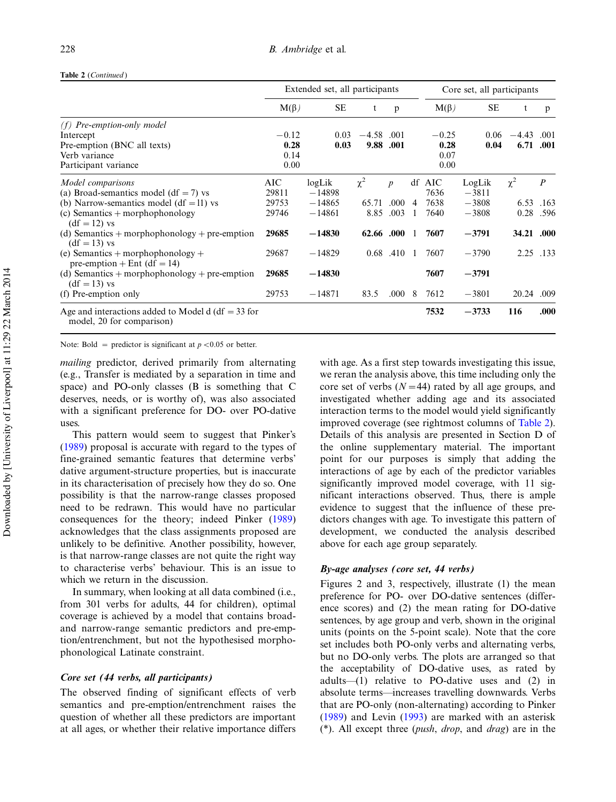|                                                                                   |            | Extended set, all participants |            |                  |                |            | Core set, all participants |            |                  |
|-----------------------------------------------------------------------------------|------------|--------------------------------|------------|------------------|----------------|------------|----------------------------|------------|------------------|
|                                                                                   | $M(\beta)$ | <b>SE</b>                      | t          | p                |                | $M(\beta)$ | <b>SE</b>                  | t          | p                |
| (f) Pre-emption-only model                                                        |            |                                |            |                  |                |            |                            |            |                  |
| Intercept                                                                         | $-0.12$    | 0.03                           | $-4.58$    | .001             |                | $-0.25$    | 0.06                       | $-4.43$    | .001             |
| Pre-emption (BNC all texts)                                                       | 0.28       | 0.03                           | 9.88       | .001             |                | 0.28       | 0.04                       | 6.71       | .001             |
| Verb variance                                                                     | 0.14       |                                |            |                  |                | 0.07       |                            |            |                  |
| Participant variance                                                              | 0.00       |                                |            |                  |                | 0.00       |                            |            |                  |
| Model comparisons                                                                 | AIC        | logLik                         | $\chi^2$   | $\boldsymbol{p}$ | df             | AIC        | LogLik                     | $\chi^2$   | $\boldsymbol{P}$ |
| (a) Broad-semantics model (df = 7) vs                                             | 29811      | $-14898$                       |            |                  |                | 7636       | $-3811$                    |            |                  |
| (b) Narrow-semantics model (df = 11) vs                                           | 29753      | $-14865$                       | 65.71      | .000             | $\overline{4}$ | 7638       | $-3808$                    | 6.53       | .163             |
| $(c)$ Semantics + morphophonology                                                 | 29746      | $-14861$                       | 8.85       | .003             |                | 7640       | $-3808$                    | 0.28       | .596             |
| $(df = 12)$ vs                                                                    |            |                                |            |                  |                |            |                            |            |                  |
| (d) Semantics $+$ morphophonology $+$ pre-emption<br>$(df = 13)$ vs               | 29685      | $-14830$                       | 62.66 .000 |                  |                | 7607       | $-3791$                    | 34.21 .000 |                  |
| (e) Semantics $+$ morphophonology $+$                                             | 29687      | $-14829$                       |            | $0.68$ .410      | -1             | 7607       | $-3790$                    | 2.25       | .133             |
| pre-emption + Ent (df = 14)                                                       |            |                                |            |                  |                |            |                            |            |                  |
| (d) Semantics $+$ morphophonology $+$ pre-emption<br>$(df = 13)$ vs               | 29685      | $-14830$                       |            |                  |                | 7607       | $-3791$                    |            |                  |
| (f) Pre-emption only                                                              | 29753      | $-14871$                       | 83.5       | .000             | 8              | 7612       | $-3801$                    | 20.24      | .009             |
| Age and interactions added to Model d (df $=$ 33 for<br>model, 20 for comparison) |            |                                |            |                  |                | 7532       | $-3733$                    | 116        | .000             |

Note: Bold = predictor is significant at  $p < 0.05$  or better.

mailing predictor, derived primarily from alternating (e.g., Transfer is mediated by a separation in time and space) and PO-only classes (B is something that C deserves, needs, or is worthy of), was also associated with a significant preference for DO- over PO-dative uses.

This pattern would seem to suggest that Pinker's ([1989\)](#page-25-0) proposal is accurate with regard to the types of fine-grained semantic features that determine verbs' dative argument-structure properties, but is inaccurate in its characterisation of precisely how they do so. One possibility is that the narrow-range classes proposed need to be redrawn. This would have no particular consequences for the theory; indeed Pinker ([1989](#page-25-0)) acknowledges that the class assignments proposed are unlikely to be definitive. Another possibility, however, is that narrow-range classes are not quite the right way to characterise verbs' behaviour. This is an issue to which we return in the discussion.

In summary, when looking at all data combined (i.e., from 301 verbs for adults, 44 for children), optimal coverage is achieved by a model that contains broadand narrow-range semantic predictors and pre-emption/entrenchment, but not the hypothesised morphophonological Latinate constraint.

## Core set (44 verbs, all participants)

The observed finding of significant effects of verb semantics and pre-emption/entrenchment raises the question of whether all these predictors are important at all ages, or whether their relative importance differs

with age. As a first step towards investigating this issue, we reran the analysis above, this time including only the core set of verbs  $(N=44)$  rated by all age groups, and investigated whether adding age and its associated interaction terms to the model would yield significantly improved coverage (see rightmost columns of [Table 2\)](#page-9-0). Details of this analysis are presented in Section D of the online supplementary material. The important point for our purposes is simply that adding the interactions of age by each of the predictor variables significantly improved model coverage, with 11 significant interactions observed. Thus, there is ample evidence to suggest that the influence of these predictors changes with age. To investigate this pattern of development, we conducted the analysis described above for each age group separately.

### By-age analyses (core set, 44 verbs)

Figures 2 and 3, respectively, illustrate (1) the mean preference for PO- over DO-dative sentences (difference scores) and (2) the mean rating for DO-dative sentences, by age group and verb, shown in the original units (points on the 5-point scale). Note that the core set includes both PO-only verbs and alternating verbs, but no DO-only verbs. The plots are arranged so that the acceptability of DO-dative uses, as rated by adults— $(1)$  relative to PO-dative uses and  $(2)$  in absolute terms—increases travelling downwards. Verbs that are PO-only (non-alternating) according to Pinker [\(1989\)](#page-25-0) and Levin [\(1993](#page-25-0)) are marked with an asterisk  $(*)$ . All except three (*push, drop*, and *drag*) are in the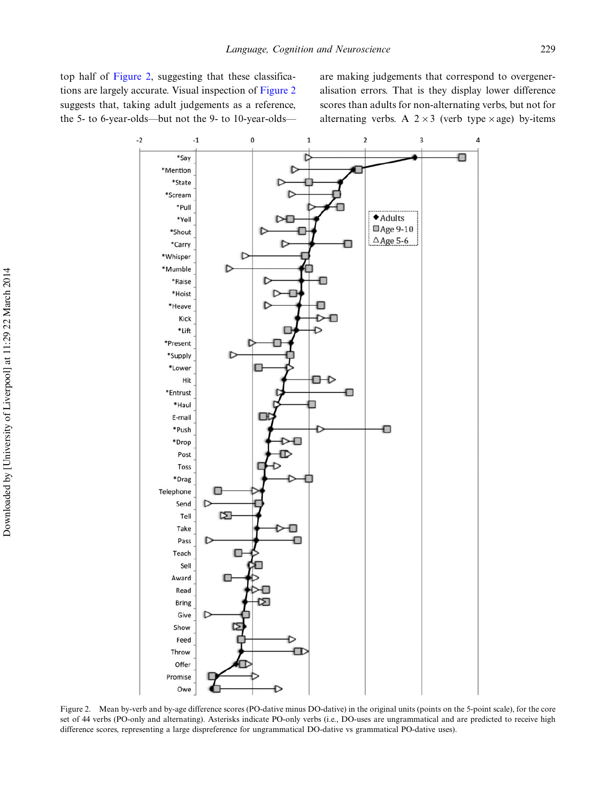top half of Figure 2, suggesting that these classifications are largely accurate. Visual inspection of Figure 2 suggests that, taking adult judgements as a reference, the 5- to 6-year-olds—but not the 9- to 10-year-oldsare making judgements that correspond to overgeneralisation errors. That is they display lower difference scores than adults for non-alternating verbs, but not for alternating verbs. A  $2 \times 3$  (verb type  $\times$  age) by-items



Figure 2. Mean by-verb and by-age difference scores (PO-dative minus DO-dative) in the original units (points on the 5-point scale), for the core set of 44 verbs (PO-only and alternating). Asterisks indicate PO-only verbs (i.e., DO-uses are ungrammatical and are predicted to receive high difference scores, representing a large dispreference for ungrammatical DO-dative vs grammatical PO-dative uses).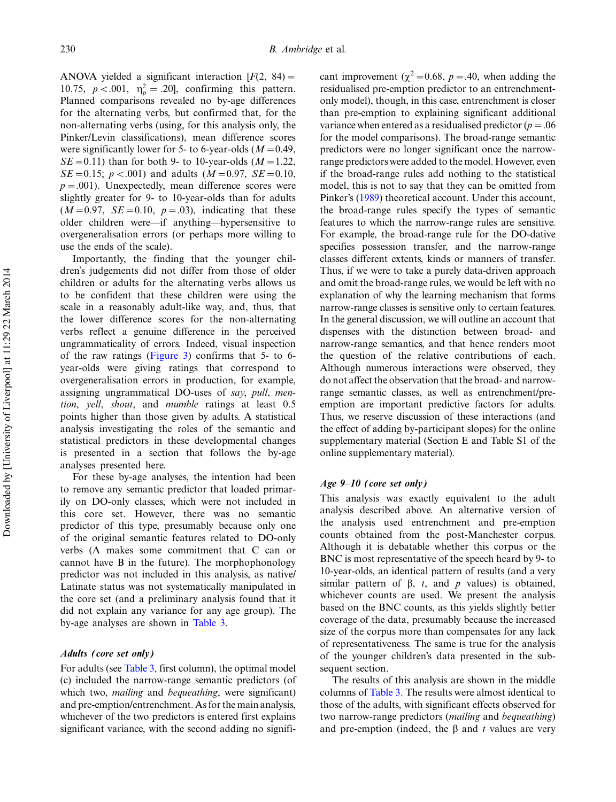ANOVA yielded a significant interaction  $[F(2, 84)] =$ 10.75,  $p < .001$ ,  $\eta_p^2 = .20$ , confirming this pattern. Planned comparisons revealed no by-age differences for the alternating verbs, but confirmed that, for the non-alternating verbs (using, for this analysis only, the Pinker/Levin classifications), mean difference scores were significantly lower for 5- to 6-year-olds  $(M = 0.49,$  $SE = 0.11$ ) than for both 9- to 10-year-olds ( $M = 1.22$ ,  $SE = 0.15$ ;  $p < .001$ ) and adults ( $M = 0.97$ ,  $SE = 0.10$ ,  $p = .001$ ). Unexpectedly, mean difference scores were slightly greater for 9- to 10-year-olds than for adults  $(M=0.97, \, SE=0.10, \, p=.03)$ , indicating that these older children were—if anything—hypersensitive to overgeneralisation errors (or perhaps more willing to use the ends of the scale).

Importantly, the finding that the younger children's judgements did not differ from those of older children or adults for the alternating verbs allows us to be confident that these children were using the scale in a reasonably adult-like way, and, thus, that the lower difference scores for the non-alternating verbs reflect a genuine difference in the perceived ungrammaticality of errors. Indeed, visual inspection of the raw ratings [\(Figure 3](#page-13-0)) confirms that 5- to 6 year-olds were giving ratings that correspond to overgeneralisation errors in production, for example, assigning ungrammatical DO-uses of say, pull, mention, yell, shout, and mumble ratings at least 0.5 points higher than those given by adults. A statistical analysis investigating the roles of the semantic and statistical predictors in these developmental changes is presented in a section that follows the by-age analyses presented here.

For these by-age analyses, the intention had been to remove any semantic predictor that loaded primarily on DO-only classes, which were not included in this core set. However, there was no semantic predictor of this type, presumably because only one of the original semantic features related to DO-only verbs (A makes some commitment that C can or cannot have B in the future). The morphophonology predictor was not included in this analysis, as native/ Latinate status was not systematically manipulated in the core set (and a preliminary analysis found that it did not explain any variance for any age group). The by-age analyses are shown in [Table 3.](#page-14-0)

# Adults (core set only)

For adults (see [Table 3,](#page-14-0) first column), the optimal model (c) included the narrow-range semantic predictors (of which two, mailing and bequeathing, were significant) and pre-emption/entrenchment. As for the main analysis, whichever of the two predictors is entered first explains significant variance, with the second adding no signifi-

cant improvement ( $\chi^2$  = 0.68, p = .40, when adding the residualised pre-emption predictor to an entrenchmentonly model), though, in this case, entrenchment is closer than pre-emption to explaining significant additional variance when entered as a residualised predictor ( $p = .06$ ) for the model comparisons). The broad-range semantic predictors were no longer significant once the narrowrange predictors were added to the model. However, even if the broad-range rules add nothing to the statistical model, this is not to say that they can be omitted from Pinker's ([1989](#page-25-0)) theoretical account. Under this account, the broad-range rules specify the types of semantic features to which the narrow-range rules are sensitive. For example, the broad-range rule for the DO-dative specifies possession transfer, and the narrow-range classes different extents, kinds or manners of transfer. Thus, if we were to take a purely data-driven approach and omit the broad-range rules, we would be left with no explanation of why the learning mechanism that forms narrow-range classes is sensitive only to certain features. In the general discussion, we will outline an account that dispenses with the distinction between broad- and narrow-range semantics, and that hence renders moot the question of the relative contributions of each. Although numerous interactions were observed, they do not affect the observation that the broad- and narrowrange semantic classes, as well as entrenchment/preemption are important predictive factors for adults. Thus, we reserve discussion of these interactions (and the effect of adding by-participant slopes) for the online supplementary material (Section E and Table S1 of the online supplementary material).

### Age  $9-10$  (core set only)

This analysis was exactly equivalent to the adult analysis described above. An alternative version of the analysis used entrenchment and pre-emption counts obtained from the post-Manchester corpus. Although it is debatable whether this corpus or the BNC is most representative of the speech heard by 9- to 10-year-olds, an identical pattern of results (and a very similar pattern of  $\beta$ , t, and p values) is obtained, whichever counts are used. We present the analysis based on the BNC counts, as this yields slightly better coverage of the data, presumably because the increased size of the corpus more than compensates for any lack of representativeness. The same is true for the analysis of the younger children's data presented in the subsequent section.

The results of this analysis are shown in the middle columns of [Table 3](#page-14-0). The results were almost identical to those of the adults, with significant effects observed for two narrow-range predictors (mailing and bequeathing) and pre-emption (indeed, the  $\beta$  and t values are very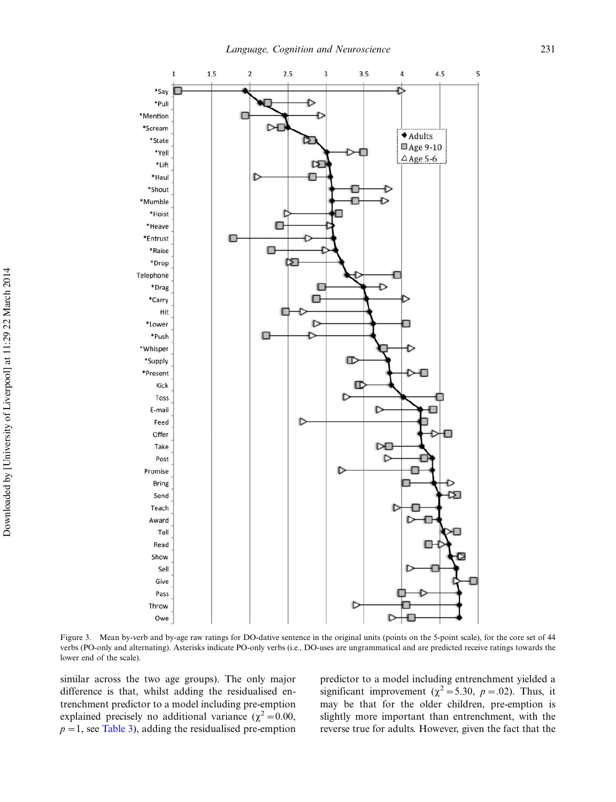<span id="page-13-0"></span>

Figure 3. Mean by-verb and by-age raw ratings for DO-dative sentence in the original units (points on the 5-point scale), for the core set of 44 verbs (PO-only and alternating). Asterisks indicate PO-only verbs (i.e., DO-uses are ungrammatical and are predicted receive ratings towards the lower end of the scale).

similar across the two age groups). The only major difference is that, whilst adding the residualised entrenchment predictor to a model including pre-emption explained precisely no additional variance ( $\chi^2$  = 0.00,  $p = 1$ , see [Table 3\)](#page-14-0), adding the residualised pre-emption

predictor to a model including entrenchment yielded a significant improvement ( $\chi^2$  = 5.30, p = 0.02). Thus, it may be that for the older children, pre-emption is slightly more important than entrenchment, with the reverse true for adults. However, given the fact that the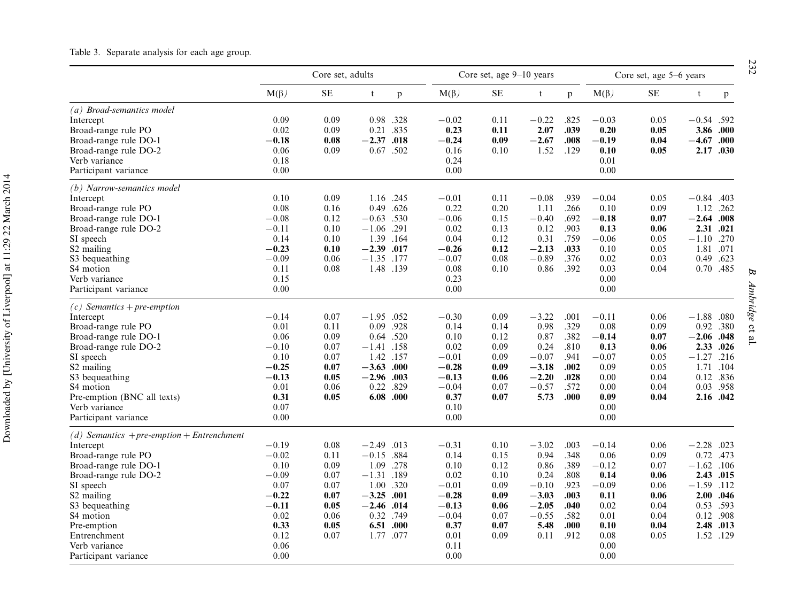# <span id="page-14-0"></span>Table 3. Separate analysis for each age group.

|                                                                                                                                                                                                                                                                                |                                                                                                             | Core set, adults                                                             |                                                                                                                                |                      |                                                                                                             | Core set, age 9-10 years                                                     |                                                                                             |                                                                              |                                                                                                       | Core set, age 5–6 years                                                      |                                                                                                      |                                                      |
|--------------------------------------------------------------------------------------------------------------------------------------------------------------------------------------------------------------------------------------------------------------------------------|-------------------------------------------------------------------------------------------------------------|------------------------------------------------------------------------------|--------------------------------------------------------------------------------------------------------------------------------|----------------------|-------------------------------------------------------------------------------------------------------------|------------------------------------------------------------------------------|---------------------------------------------------------------------------------------------|------------------------------------------------------------------------------|-------------------------------------------------------------------------------------------------------|------------------------------------------------------------------------------|------------------------------------------------------------------------------------------------------|------------------------------------------------------|
|                                                                                                                                                                                                                                                                                | $M(\beta)$                                                                                                  | <b>SE</b>                                                                    | t                                                                                                                              | p                    | $M(\beta)$                                                                                                  | SE                                                                           | t                                                                                           | p                                                                            | $M(\beta)$                                                                                            | SE                                                                           | t                                                                                                    | p                                                    |
| (a) Broad-semantics model<br>Intercept<br>Broad-range rule PO<br>Broad-range rule DO-1<br>Broad-range rule DO-2<br>Verb variance<br>Participant variance                                                                                                                       | 0.09<br>0.02<br>$-0.18$<br>0.06<br>0.18<br>$0.00\,$                                                         | 0.09<br>0.09<br>0.08<br>0.09                                                 | 0.98 .328<br>0.21 .835<br>$-2.37.018$<br>0.67 .502                                                                             |                      | $-0.02$<br>0.23<br>$-0.24$<br>0.16<br>0.24<br>0.00                                                          | 0.11<br>0.11<br>0.09<br>0.10                                                 | $-0.22$<br>2.07<br>$-2.67$<br>1.52                                                          | .825<br>.039<br>.008<br>.129                                                 | $-0.03$<br>0.20<br>$-0.19$<br>0.10<br>0.01<br>0.00                                                    | 0.05<br>0.05<br>0.04<br>0.05                                                 | $-0.54$ .592<br>3.86<br>$-4.67$<br>2.17                                                              | .000<br>.000<br>.030                                 |
| (b) Narrow-semantics model<br>Intercept<br>Broad-range rule PO<br>Broad-range rule DO-1<br>Broad-range rule DO-2<br>SI speech<br>S <sub>2</sub> mailing<br>S3 bequeathing<br>S4 motion<br>Verb variance<br>Participant variance                                                | 0.10<br>0.08<br>$-0.08$<br>$-0.11$<br>0.14<br>$-0.23$<br>$-0.09$<br>0.11<br>0.15<br>$0.00\,$                | 0.09<br>0.16<br>0.12<br>0.10<br>0.10<br>0.10<br>0.06<br>0.08                 | 1.16 .245<br>0.49<br>$-0.63$ .530<br>$-1.06$ .291<br>1.39<br>$-2.39$ .017<br>$-1.35$ .177<br>1.48 .139                         | .626<br>.164         | $-0.01$<br>0.22<br>$-0.06$<br>0.02<br>0.04<br>$-0.26$<br>$-0.07$<br>0.08<br>0.23<br>0.00                    | 0.11<br>0.20<br>0.15<br>0.13<br>0.12<br>0.12<br>0.08<br>0.10                 | $-0.08$<br>1.11<br>$-0.40$<br>0.12<br>0.31<br>$-2.13$<br>$-0.89$<br>0.86                    | .939<br>.266<br>.692<br>.903<br>.759<br>.033<br>.376<br>.392                 | $-0.04$<br>0.10<br>$-0.18$<br>0.13<br>$-0.06$<br>0.10<br>0.02<br>0.03<br>0.00<br>$0.00\,$             | 0.05<br>0.09<br>0.07<br>0.06<br>0.05<br>0.05<br>0.03<br>0.04                 | $-0.84$ .403<br>1.12<br>$-2.64$<br>2.31 .021<br>$-1.10$<br>1.81<br>0.49<br>0.70 .485                 | .262<br>.008<br>.270<br>.071<br>.623                 |
| $(c)$ Semantics + pre-emption<br>Intercept<br>Broad-range rule PO<br>Broad-range rule DO-1<br>Broad-range rule DO-2<br>SI speech<br>S <sub>2</sub> mailing<br>S3 bequeathing<br>S4 motion<br>Pre-emption (BNC all texts)<br>Verb variance<br>Participant variance              | $-0.14$<br>0.01<br>0.06<br>$-0.10$<br>0.10<br>$-0.25$<br>$-0.13$<br>0.01<br>0.31<br>0.07<br>0.00            | 0.07<br>0.11<br>0.09<br>0.07<br>0.07<br>0.07<br>0.05<br>0.06<br>0.05         | $-1.95$ .052<br>0.09<br>0.64 .520<br>$-1.41$ .158<br>1.42 .157<br>$-3.63.000$<br>$-2.96$ .003<br>0.22<br>$6.08$ .000           | .928<br>.829         | $-0.30$<br>0.14<br>0.10<br>0.02<br>$-0.01$<br>$-0.28$<br>$-0.13$<br>$-0.04$<br>0.37<br>0.10<br>0.00         | 0.09<br>0.14<br>0.12<br>0.09<br>0.09<br>0.09<br>0.06<br>0.07<br>0.07         | $-3.22$<br>0.98<br>0.87<br>0.24<br>$-0.07$<br>$-3.18$<br>$-2.20$<br>$-0.57$<br>5.73         | .001<br>.329<br>.382<br>.810<br>.941<br>.002<br>.028<br>.572<br>.000         | $-0.11$<br>0.08<br>$-0.14$<br>0.13<br>$-0.07$<br>0.09<br>0.00<br>0.00<br>0.09<br>0.00<br>0.00         | 0.06<br>0.09<br>0.07<br>0.06<br>0.05<br>0.05<br>0.04<br>0.04<br>0.04         | $-1.88$<br>0.92<br>$-2.06$ .048<br>2.33<br>$-1.27$<br>1.71<br>0.12 .836<br>0.03 .958<br>2.16 .042    | .080<br>.380<br>.026<br>.216<br>.104                 |
| (d) Semantics + pre-emption + Entrenchment<br>Intercept<br>Broad-range rule PO<br>Broad-range rule DO-1<br>Broad-range rule DO-2<br>SI speech<br>S2 mailing<br>S3 bequeathing<br>S <sub>4</sub> motion<br>Pre-emption<br>Entrenchment<br>Verb variance<br>Participant variance | $-0.19$<br>$-0.02$<br>0.10<br>$-0.09$<br>0.07<br>$-0.22$<br>$-0.11$<br>0.02<br>0.33<br>0.12<br>0.06<br>0.00 | 0.08<br>0.11<br>0.09<br>0.07<br>0.07<br>0.07<br>0.05<br>0.06<br>0.05<br>0.07 | $-2.49$ .013<br>$-0.15$ .884<br>1.09<br>$-1.31$ .189<br>1.00 .320<br>$-3.25$<br>$-2.46$ .014<br>0.32<br>6.51 .000<br>1.77 .077 | .278<br>.001<br>.749 | $-0.31$<br>0.14<br>0.10<br>0.02<br>$-0.01$<br>$-0.28$<br>$-0.13$<br>$-0.04$<br>0.37<br>0.01<br>0.11<br>0.00 | 0.10<br>0.15<br>0.12<br>0.10<br>0.09<br>0.09<br>0.06<br>0.07<br>0.07<br>0.09 | $-3.02$<br>0.94<br>0.86<br>0.24<br>$-0.10$<br>$-3.03$<br>$-2.05$<br>$-0.55$<br>5.48<br>0.11 | .003<br>.348<br>.389<br>.808<br>.923<br>.003<br>.040<br>.582<br>.000<br>.912 | $-0.14$<br>0.06<br>$-0.12$<br>0.14<br>$-0.09$<br>0.11<br>0.02<br>0.01<br>0.10<br>0.08<br>0.00<br>0.00 | 0.06<br>0.09<br>0.07<br>0.06<br>0.06<br>0.06<br>0.04<br>0.04<br>0.04<br>0.05 | $-2.28$<br>0.72<br>$-1.62$<br>2.43 .015<br>$-1.59$<br>2.00<br>0.53 .593<br>0.12<br>2.48<br>1.52 .129 | .023<br>.473<br>.106<br>.112<br>.046<br>.908<br>.013 |

232

Downloaded by [University of Liverpool] at 11:29 22 March 2014 Downloaded by [University of Liverpool] at 11:29 22 March 2014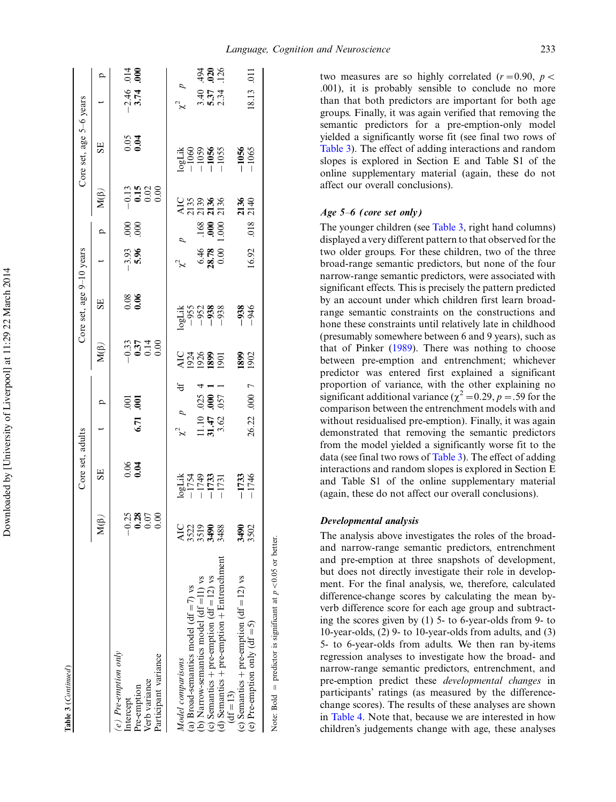|                                                                                          |                                                             | Core set, adults                      |                                                       |                                      | Core set, age 9-10 years               |                  |                        |                                                           | Core set, age                    | $5-6$ years                    |                               |
|------------------------------------------------------------------------------------------|-------------------------------------------------------------|---------------------------------------|-------------------------------------------------------|--------------------------------------|----------------------------------------|------------------|------------------------|-----------------------------------------------------------|----------------------------------|--------------------------------|-------------------------------|
|                                                                                          | M(8)                                                        | SE                                    | $\mathbf{a}$                                          | M(3)                                 | SE                                     |                  | $\mathbf{a}$           | $M(\beta)$                                                | SE                               |                                | $\mathbf{a}$                  |
| e) Pre-emption only<br>Participant variance<br>Verb variance<br>Pre-emption<br>Intercept | $\begin{bmatrix} 25 \\ 0.38 \\ -0.50 \\ 0.00 \end{bmatrix}$ | 0.04                                  | ទីទី<br>6.71                                          | $0.37$<br>$0.37$<br>$0.37$<br>$0.00$ | 0.08                                   | $3.93$<br>5.96   | 88.<br>000.            | $\begin{array}{c} 13 \\ 0.15 \\ 0.00 \\ 0.00 \end{array}$ | 0.05                             | $-2.46$<br>3.74                | $rac{1}{4}$                   |
| (a) Broad-semantics model (df = 7) $vs$<br>Model comparisons                             | AIC                                                         |                                       | ₩                                                     |                                      |                                        | $\approx$        |                        |                                                           |                                  | ž                              | ₽                             |
| (c) Semantics + pre-emption $(df = 12)$ vs<br>(b) Narrow-semantics model $(df = 11)$ vs  | $3522$<br>$359$<br>$3488$                                   | <br> 1754<br> - 1749<br> - 1733<br> - | 4<br>025<br>060<br>057<br>$11.10$<br>$3.62$<br>$3.62$ | 4238951919                           | ogLik<br>-955<br>-952<br>-938<br>--938 | $6.46$<br>$8.78$ | $\frac{8}{1}$ <b>8</b> | <b>ARS 355</b><br>ARS 356                                 | anis<br> - 1050<br> - 1056<br> - | $\frac{4}{3}$ ភ្លឹង<br>១.ភ្លឹង | $\frac{4}{3}$ g $\frac{1}{2}$ |
| $(d)$ Semantics + pre-emption + Entrenchment<br>$df = 13$                                |                                                             |                                       |                                                       |                                      |                                        |                  |                        |                                                           |                                  |                                |                               |
| (c) Semantics + pre-emption $(df = 12)$ vs<br>(e) Pre-emption only $(df = 5)$            | 3490<br>3502                                                | $-1733$<br>$-1746$                    | $\sqrt{2}$ 000.<br>26.22                              | 1899                                 | $-938$<br>$-946$                       | 16.92            | 018                    | 2136<br>2140                                              | $-1056$                          | 18.13                          | $\overline{0}$                |
|                                                                                          |                                                             |                                       |                                                       |                                      |                                        |                  |                        |                                                           |                                  |                                |                               |

two measures are so highly correlated  $(r=0.90, p<$ .001), it is probably sensible to conclude no more than that both predictors are important for both age groups. Finally, it was again verified that removing the semantic predictors for a pre-emption-only model yielded a significantly worse fit (see final two rows of [Table 3](#page-14-0)). The effect of adding interactions and random slopes is explored in Section E and Table S1 of the online supplementary material (again, these do not affect our overall conclusions).

### Age  $5-6$  (core set only)

The younger children (see [Table 3,](#page-14-0) right hand columns) displayed avery different pattern to that observed for the two older groups. For these children, two of the three broad-range semantic predictors, but none of the four narrow-range semantic predictors, were associated with significant effects. This is precisely the pattern predicted by an account under which children first learn broadrange semantic constraints on the constructions and hone these constraints until relatively late in childhood (presumably somewhere between 6 and 9 years), such as that of Pinker [\(1989](#page-25-0)). There was nothing to choose between pre-emption and entrenchment; whichever predictor was entered first explained a significant proportion of variance, with the other explaining no significant additional variance ( $\chi^2$  = 0.29, p = .59 for the comparison between the entrenchment models with and without residualised pre-emption). Finally, it was again demonstrated that removing the semantic predictors from the model yielded a significantly worse fit to the data (see final two rows of [Table 3\)](#page-14-0). The effect of adding interactions and random slopes is explored in Section E and Table S1 of the online supplementary material (again, these do not affect our overall conclusions).

#### Developmental analysis

Note: Bold

Note: Bold

 $\parallel$ 

= predictor is significant at  $p < 0.05$  or better.

predictor is significant at  $p < 0.05$  or better.

The analysis above investigates the roles of the broadand narrow-range semantic predictors, entrenchment and pre-emption at three snapshots of development, but does not directly investigate their role in development. For the final analysis, we, therefore, calculated difference-change scores by calculating the mean byverb difference score for each age group and subtracting the scores given by (1) 5- to 6-year-olds from 9- to 10-year-olds, (2) 9- to 10-year-olds from adults, and (3) 5- to 6-year-olds from adults. We then ran by-items regression analyses to investigate how the broad- and narrow-range semantic predictors, entrenchment, and pre-emption predict these *developmental changes* in participants' ratings (as measured by the differencechange scores). The results of these analyses are shown in [Table 4.](#page-16-0) Note that, because we are interested in how children's judgements change with age, these analyses

Table 3 (Continued)

(Continued )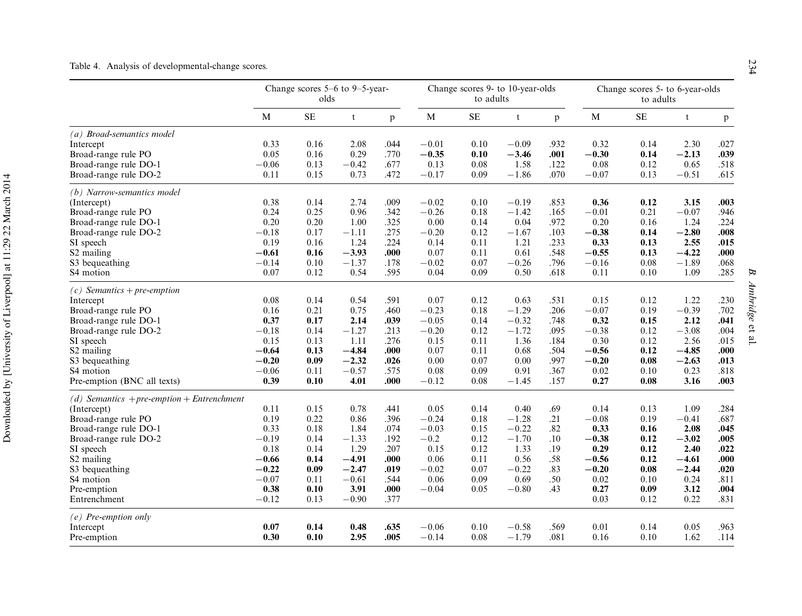Downloaded by [University of Liverpool] at 11:29 22 March 2014 Downloaded by [University of Liverpool] at 11:29 22 March 2014

<span id="page-16-0"></span>

|                                            |         | olds | Change scores $5-6$ to $9-5$ -year- |      |         | to adults | Change scores 9- to 10-year-olds |      |             | Change scores 5- to 6-year-olds<br>to adults |                           |       |
|--------------------------------------------|---------|------|-------------------------------------|------|---------|-----------|----------------------------------|------|-------------|----------------------------------------------|---------------------------|-------|
|                                            | M       | SE   | $\mathbf t$                         | p    | M       | SE        | $\mathsf{t}$                     | p    | $\mathbf M$ | $\rm SE$                                     | $\ensuremath{\mathbf{t}}$ | p     |
| (a) Broad-semantics model                  |         |      |                                     |      |         |           |                                  |      |             |                                              |                           |       |
| Intercept                                  | 0.33    | 0.16 | 2.08                                | .044 | $-0.01$ | 0.10      | $-0.09$                          | .932 | 0.32        | 0.14                                         | 2.30                      | .027  |
| Broad-range rule PO                        | 0.05    | 0.16 | 0.29                                | .770 | $-0.35$ | 0.10      | $-3.46$                          | .001 | $-0.30$     | 0.14                                         | $-2.13$                   | .039  |
| Broad-range rule DO-1                      | $-0.06$ | 0.13 | $-0.42$                             | .677 | 0.13    | 0.08      | 1.58                             | .122 | 0.08        | 0.12                                         | 0.65                      | .518  |
| Broad-range rule DO-2                      | 0.11    | 0.15 | 0.73                                | .472 | $-0.17$ | 0.09      | $-1.86$                          | .070 | $-0.07$     | 0.13                                         | $-0.51$                   | .615  |
| (b) Narrow-semantics model                 |         |      |                                     |      |         |           |                                  |      |             |                                              |                           |       |
| (Intercept)                                | 0.38    | 0.14 | 2.74                                | .009 | $-0.02$ | 0.10      | $-0.19$                          | .853 | 0.36        | 0.12                                         | 3.15                      | .003  |
| Broad-range rule PO                        | 0.24    | 0.25 | 0.96                                | .342 | $-0.26$ | 0.18      | $-1.42$                          | .165 | $-0.01$     | 0.21                                         | $-0.07$                   | .946  |
| Broad-range rule DO-1                      | 0.20    | 0.20 | 1.00                                | .325 | 0.00    | 0.14      | 0.04                             | .972 | 0.20        | 0.16                                         | 1.24                      | .224  |
| Broad-range rule DO-2                      | $-0.18$ | 0.17 | $-1.11$                             | .275 | $-0.20$ | 0.12      | $-1.67$                          | .103 | $-0.38$     | 0.14                                         | $-2.80$                   | .008  |
| SI speech                                  | 0.19    | 0.16 | 1.24                                | .224 | 0.14    | 0.11      | 1.21                             | .233 | 0.33        | 0.13                                         | 2.55                      | .015  |
| S2 mailing                                 | $-0.61$ | 0.16 | $-3.93$                             | .000 | 0.07    | 0.11      | 0.61                             | .548 | $-0.55$     | 0.13                                         | $-4.22$                   | .000. |
| S <sub>3</sub> bequeathing                 | $-0.14$ | 0.10 | $-1.37$                             | .178 | $-0.02$ | 0.07      | $-0.26$                          | .796 | $-0.16$     | 0.08                                         | $-1.89$                   | .068  |
| S4 motion                                  | 0.07    | 0.12 | 0.54                                | .595 | 0.04    | 0.09      | 0.50                             | .618 | 0.11        | 0.10                                         | 1.09                      | .285  |
| $(c)$ Semantics + pre-emption              |         |      |                                     |      |         |           |                                  |      |             |                                              |                           |       |
| Intercept                                  | 0.08    | 0.14 | 0.54                                | .591 | 0.07    | 0.12      | 0.63                             | .531 | 0.15        | 0.12                                         | 1.22                      | .230  |
| Broad-range rule PO                        | 0.16    | 0.21 | 0.75                                | .460 | $-0.23$ | 0.18      | $-1.29$                          | .206 | $-0.07$     | 0.19                                         | $-0.39$                   | .702  |
| Broad-range rule DO-1                      | 0.37    | 0.17 | 2.14                                | .039 | $-0.05$ | 0.14      | $-0.32$                          | .748 | 0.32        | 0.15                                         | 2.12                      | .041  |
| Broad-range rule DO-2                      | $-0.18$ | 0.14 | $-1.27$                             | .213 | $-0.20$ | 0.12      | $-1.72$                          | .095 | $-0.38$     | 0.12                                         | $-3.08$                   | .004  |
| SI speech                                  | 0.15    | 0.13 | 1.11                                | .276 | 0.15    | 0.11      | 1.36                             | .184 | 0.30        | 0.12                                         | 2.56                      | .015  |
| S <sub>2</sub> mailing                     | $-0.64$ | 0.13 | $-4.84$                             | .000 | 0.07    | 0.11      | 0.68                             | .504 | $-0.56$     | 0.12                                         | $-4.85$                   | .000  |
| S <sub>3</sub> bequeathing                 | $-0.20$ | 0.09 | $-2.32$                             | .026 | 0.00    | 0.07      | 0.00                             | .997 | $-0.20$     | 0.08                                         | $-2.63$                   | .013  |
| S4 motion                                  | $-0.06$ | 0.11 | $-0.57$                             | .575 | 0.08    | 0.09      | 0.91                             | .367 | 0.02        | 0.10                                         | 0.23                      | .818  |
| Pre-emption (BNC all texts)                | 0.39    | 0.10 | 4.01                                | .000 | $-0.12$ | 0.08      | $-1.45$                          | .157 | 0.27        | 0.08                                         | 3.16                      | .003  |
| (d) Semantics + pre-emption + Entrenchment |         |      |                                     |      |         |           |                                  |      |             |                                              |                           |       |
| (Intercept)                                | 0.11    | 0.15 | 0.78                                | .441 | 0.05    | 0.14      | 0.40                             | .69  | 0.14        | 0.13                                         | 1.09                      | .284  |
| Broad-range rule PO                        | 0.19    | 0.22 | 0.86                                | .396 | $-0.24$ | 0.18      | $-1.28$                          | .21  | $-0.08$     | 0.19                                         | $-0.41$                   | .687  |
| Broad-range rule DO-1                      | 0.33    | 0.18 | 1.84                                | .074 | $-0.03$ | 0.15      | $-0.22$                          | .82  | 0.33        | 0.16                                         | 2.08                      | .045  |
| Broad-range rule DO-2                      | $-0.19$ | 0.14 | $-1.33$                             | .192 | $-0.2$  | 0.12      | $-1.70$                          | .10  | $-0.38$     | 0.12                                         | $-3.02$                   | .005  |
| SI speech                                  | 0.18    | 0.14 | 1.29                                | .207 | 0.15    | 0.12      | 1.33                             | .19  | 0.29        | 0.12                                         | 2.40                      | .022  |
| S2 mailing                                 | $-0.66$ | 0.14 | $-4.91$                             | .000 | 0.06    | 0.11      | 0.56                             | .58  | $-0.56$     | 0.12                                         | $-4.61$                   | .000  |
| S3 bequeathing                             | $-0.22$ | 0.09 | $-2.47$                             | .019 | $-0.02$ | 0.07      | $-0.22$                          | .83  | $-0.20$     | 0.08                                         | $-2.44$                   | .020  |
| S4 motion                                  | $-0.07$ | 0.11 | $-0.61$                             | .544 | 0.06    | 0.09      | 0.69                             | .50  | 0.02        | 0.10                                         | 0.24                      | .811  |
| Pre-emption                                | 0.38    | 0.10 | 3.91                                | .000 | $-0.04$ | 0.05      | $-0.80$                          | .43  | 0.27        | 0.09                                         | 3.12                      | .004  |
| Entrenchment                               | $-0.12$ | 0.13 | $-0.90$                             | .377 |         |           |                                  |      | 0.03        | 0.12                                         | 0.22                      | .831  |
| $(e)$ Pre-emption only                     |         |      |                                     |      |         |           |                                  |      |             |                                              |                           |       |
| Intercept                                  | 0.07    | 0.14 | 0.48                                | .635 | $-0.06$ | 0.10      | $-0.58$                          | .569 | 0.01        | 0.14                                         | 0.05                      | .963  |
| Pre-emption                                | 0.30    | 0.10 | 2.95                                | .005 | $-0.14$ | 0.08      | $-1.79$                          | .081 | 0.16        | 0.10                                         | 1.62                      | .114  |

et al.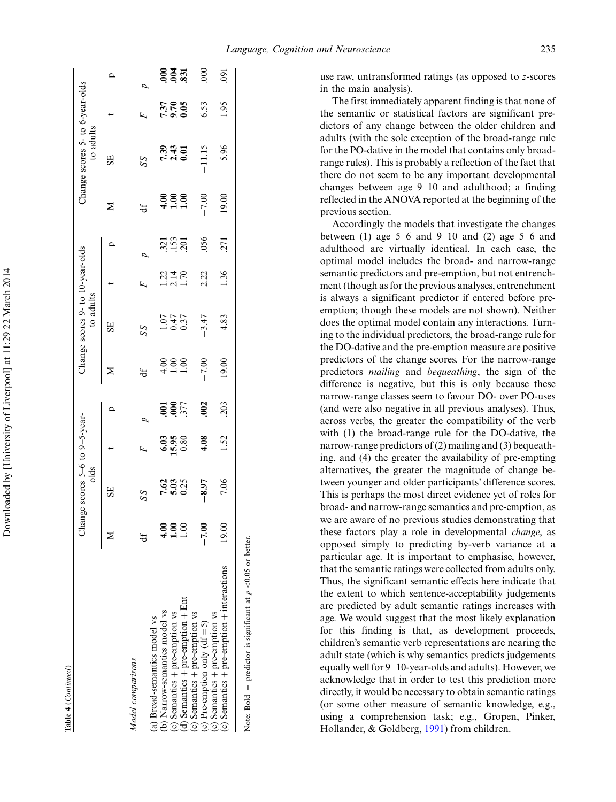use raw, untransformed ratings (as opposed to z-scores in the main analysis).

The first immediately apparent finding is that none of the semantic or statistical factors are significant predictors of any change between the older children and adults (with the sole exception of the broad-range rule for the PO-dative in the model that contains only broadrange rules). This is probably a reflection of the fact that there do not seem to be any important developmental changes between age  $9-10$  and adulthood; a finding reflected in the ANOVA reported at the beginning of the previous section.

Accordingly the models that investigate the changes between (1) age  $5-6$  and  $9-10$  and (2) age  $5-6$  and adulthood are virtually identical. In each case, the optimal model includes the broad- and narrow-range semantic predictors and pre-emption, but not entrenchment (though as for the previous analyses, entrenchment is always a significant predictor if entered before preemption; though these models are not shown). Neither does the optimal model contain any interactions. Turning to the individual predictors, the broad-range rule for the DO-dative and the pre-emption measure are positive predictors of the change scores. For the narrow-range predictors mailing and bequeathing, the sign of the difference is negative, but this is only because these narrow-range classes seem to favour DO- over PO-uses (and were also negative in all previous analyses). Thus, across verbs, the greater the compatibility of the verb with (1) the broad-range rule for the DO-dative, the narrow-range predictors of (2) mailing and (3) bequeathing, and (4) the greater the availability of pre-empting alternatives, the greater the magnitude of change between younger and older participants' difference scores. This is perhaps the most direct evidence yet of roles for broad- and narrow-range semantics and pre-emption, as we are aware of no previous studies demonstrating that these factors play a role in developmental *change*, as opposed simply to predicting by-verb variance at a particular age. It is important to emphasise, however, that the semantic ratings were collected from adults only. Thus, the significant semantic effects here indicate that the extent to which sentence-acceptability judgements are predicted by adult semantic ratings increases with age. We would suggest that the most likely explanation for this finding is that, as development proceeds, children's semantic verb representations are nearing the adult state (which is why semantics predicts judgements equally well for 9–10-year-olds and adults). However, we acknowledge that in order to test this prediction more directly, it would be necessary to obtain semantic ratings (or some other measure of semantic knowledge, e.g., using a comprehension task; e.g., Gropen, Pinker, Hollander, & Goldberg, [1991\)](#page-25-0) from children.

|                                                       |                | olds              |                   |              |                   | to adults                                           |                            |              |                 | to adults  |             |                |
|-------------------------------------------------------|----------------|-------------------|-------------------|--------------|-------------------|-----------------------------------------------------|----------------------------|--------------|-----------------|------------|-------------|----------------|
|                                                       |                | SE                |                   | $\mathbf{a}$ | Z                 | SE                                                  |                            | $\mathbf{a}$ | ⋝               | SE         |             | $\mathbf{a}$   |
| Model comparisons                                     |                |                   |                   |              |                   |                                                     |                            |              |                 |            |             |                |
|                                                       |                | SS                |                   |              | đ                 | SS                                                  | Ŀ,                         |              | ₩               | SS         | Ŀ,          |                |
| (a) Broad-semantics model vs                          |                |                   |                   |              |                   |                                                     |                            |              |                 |            |             |                |
| (b) Narrow-semantics model vs                         | 4.00           |                   |                   |              |                   |                                                     |                            |              |                 |            |             |                |
| (c) Semantics + pre-emption vs                        | 1.00           | <b>333</b><br>553 |                   | 58F          | $\frac{880}{100}$ |                                                     |                            | ឆ្លង់        | $308$<br>$-1.8$ | 543<br>243 | 556<br>9.65 | ទី ទី ឌី       |
| (d) Semantics + pre-emption + $Ent$                   | $\frac{8}{10}$ |                   | $6.95$<br>$-1.80$ |              |                   | $\begin{array}{c} 1.07 \\ 0.47 \\ 0.37 \end{array}$ | $1.22$<br>$2.14$<br>$1.70$ |              |                 |            |             |                |
| (c) Semantics + pre-emption vs                        |                |                   |                   |              |                   |                                                     |                            |              |                 |            |             |                |
| $-7.00$<br>(e) Pre-emption only $(df = 5)$            |                | $-8.97$           | 4.08              | <b>902</b>   | $-7.00$           | $-3.47$                                             | 2.22                       | .056         | $-7.00$         | $-11.15$   | 6.53        | 800            |
| (c) Semantics + pre-emption vs                        |                |                   |                   |              |                   |                                                     |                            |              |                 |            |             |                |
| 19.00<br>$(c)$ Semantics + pre-emption + interactions |                | 7.06              | 1.52              | 203          | 19.00             | 4.83                                                | 1.36                       | 271          | 19.00           | 5.96       | 1.95        | $\overline{5}$ |

Table 4 (Continued)

(Continued )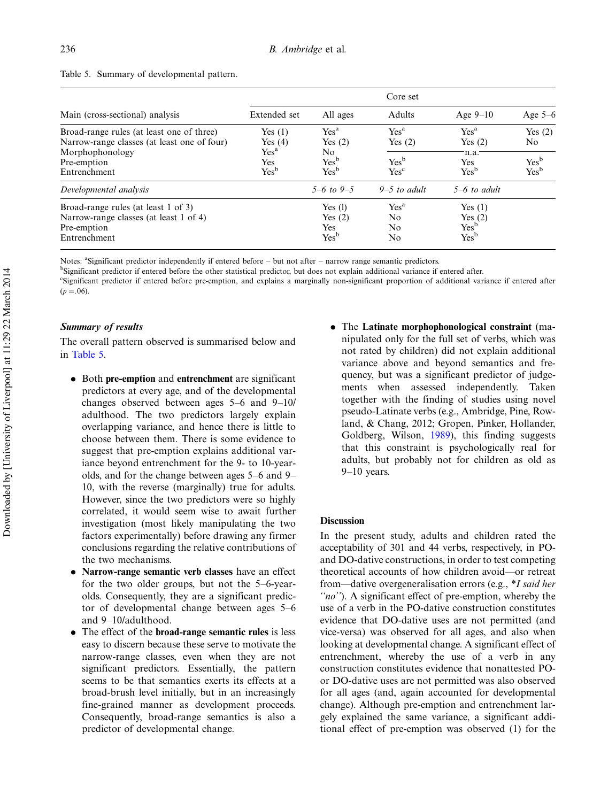|                                                                                                                                            |                                                                       |                                                                              | Core set                                                              |                                                                  |                                                          |
|--------------------------------------------------------------------------------------------------------------------------------------------|-----------------------------------------------------------------------|------------------------------------------------------------------------------|-----------------------------------------------------------------------|------------------------------------------------------------------|----------------------------------------------------------|
| Main (cross-sectional) analysis                                                                                                            | Extended set                                                          | All ages                                                                     | Adults                                                                | Age $9-10$                                                       | Age $5-6$                                                |
| Broad-range rules (at least one of three)<br>Narrow-range classes (at least one of four)<br>Morphophonology<br>Pre-emption<br>Entrenchment | Yes $(1)$<br>Yes $(4)$<br>Yes <sup>a</sup><br>Yes<br>Yes <sup>b</sup> | Yes <sup>a</sup><br>Yes $(2)$<br>No.<br>Yes <sup>b</sup><br>Yes <sup>b</sup> | Yes <sup>a</sup><br>Yes $(2)$<br>Yes <sup>b</sup><br>Yes <sup>c</sup> | Yes <sup>a</sup><br>Yes $(2)$<br>n.a.<br>Yes<br>Yes <sup>b</sup> | Yes $(2)$<br>No.<br>Yes <sup>b</sup><br>Yes <sup>b</sup> |
| Developmental analysis                                                                                                                     |                                                                       | 5–6 to 9–5                                                                   | $9-5$ to adult                                                        | $5-6$ to adult                                                   |                                                          |
| Broad-range rules (at least 1 of 3)<br>Narrow-range classes (at least 1 of 4)<br>Pre-emption<br>Entrenchment                               |                                                                       | Yes $(l)$<br>Yes $(2)$<br>Yes<br>Yes <sup>b</sup>                            | Yes <sup>a</sup><br>No<br>N <sub>0</sub><br>No                        | Yes $(1)$<br>Yes $(2)$<br>Yes <sup>b</sup><br>Yes <sup>b</sup>   |                                                          |

Table 5. Summary of developmental pattern.

Notes: <sup>a</sup>Significant predictor independently if entered before - but not after - narrow range semantic predictors.

b Significant predictor if entered before the other statistical predictor, but does not explain additional variance if entered after.

c Significant predictor if entered before pre-emption, and explains a marginally non-significant proportion of additional variance if entered after  $(p = .06)$ .

### Summary of results

The overall pattern observed is summarised below and in Table 5.

- . Both pre-emption and entrenchment are significant predictors at every age, and of the developmental changes observed between ages  $5-6$  and  $9-10/$ adulthood. The two predictors largely explain overlapping variance, and hence there is little to choose between them. There is some evidence to suggest that pre-emption explains additional variance beyond entrenchment for the 9- to 10-yearolds, and for the change between ages  $5-6$  and  $9-$ 10, with the reverse (marginally) true for adults. However, since the two predictors were so highly correlated, it would seem wise to await further investigation (most likely manipulating the two factors experimentally) before drawing any firmer conclusions regarding the relative contributions of the two mechanisms.
- Narrow-range semantic verb classes have an effect for the two older groups, but not the  $5-6$ -yearolds. Consequently, they are a significant predictor of developmental change between ages  $5-6$ and 9-10/adulthood.
- . The effect of the broad-range semantic rules is less easy to discern because these serve to motivate the narrow-range classes, even when they are not significant predictors. Essentially, the pattern seems to be that semantics exerts its effects at a broad-brush level initially, but in an increasingly fine-grained manner as development proceeds. Consequently, broad-range semantics is also a predictor of developmental change.

. The Latinate morphophonological constraint (manipulated only for the full set of verbs, which was not rated by children) did not explain additional variance above and beyond semantics and frequency, but was a significant predictor of judgements when assessed independently. Taken together with the finding of studies using novel pseudo-Latinate verbs (e.g., Ambridge, Pine, Rowland, & Chang, 2012; Gropen, Pinker, Hollander, Goldberg, Wilson, [1989\)](#page-25-0), this finding suggests that this constraint is psychologically real for adults, but probably not for children as old as  $9-10$  years.

#### **Discussion**

In the present study, adults and children rated the acceptability of 301 and 44 verbs, respectively, in POand DO-dative constructions, in order to test competing theoretical accounts of how children avoid—or retreat from—dative overgeneralisation errors (e.g., \*I said her "no"). A significant effect of pre-emption, whereby the use of a verb in the PO-dative construction constitutes evidence that DO-dative uses are not permitted (and vice-versa) was observed for all ages, and also when looking at developmental change. A significant effect of entrenchment, whereby the use of a verb in any construction constitutes evidence that nonattested POor DO-dative uses are not permitted was also observed for all ages (and, again accounted for developmental change). Although pre-emption and entrenchment largely explained the same variance, a significant additional effect of pre-emption was observed (1) for the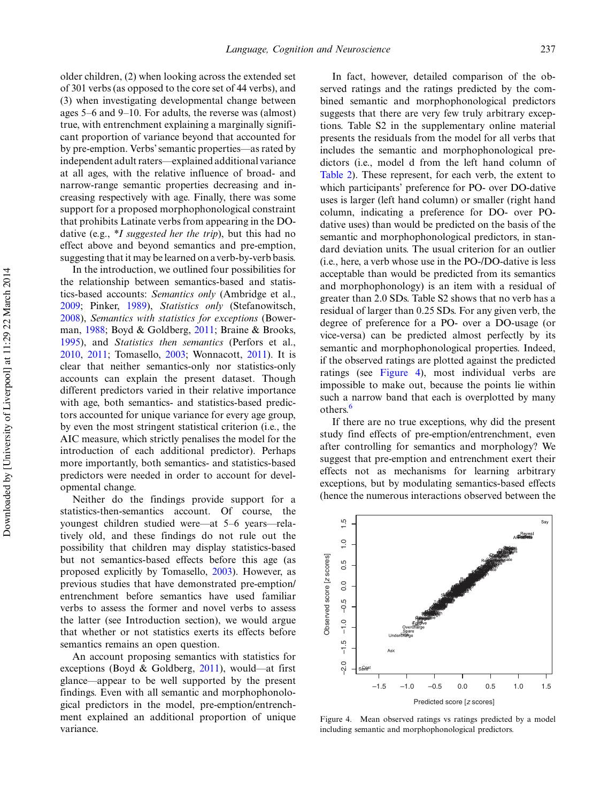older children, (2) when looking across the extended set of 301 verbs (as opposed to the core set of 44 verbs), and (3) when investigating developmental change between ages  $5-6$  and  $9-10$ . For adults, the reverse was (almost) true, with entrenchment explaining a marginally significant proportion of variance beyond that accounted for by pre-emption. Verbs' semantic properties—as rated by independent adult raters-explained additional variance at all ages, with the relative influence of broad- and narrow-range semantic properties decreasing and increasing respectively with age. Finally, there was some support for a proposed morphophonological constraint that prohibits Latinate verbs from appearing in the DOdative (e.g., \*I suggested her the trip), but this had no effect above and beyond semantics and pre-emption, suggesting that it may be learned on averb-by-verb basis.

In the introduction, we outlined four possibilities for the relationship between semantics-based and statistics-based accounts: Semantics only (Ambridge et al., [2009;](#page-24-0) Pinker, [1989](#page-25-0)), Statistics only (Stefanowitsch, [2008\)](#page-25-0), Semantics with statistics for exceptions (Bowerman, [1988](#page-24-0); Boyd & Goldberg, [2011](#page-24-0); Braine & Brooks, [1995\)](#page-24-0), and Statistics then semantics (Perfors et al., [2010,](#page-25-0) [2011;](#page-25-0) Tomasello, [2003;](#page-25-0) Wonnacott, [2011](#page-25-0)). It is clear that neither semantics-only nor statistics-only accounts can explain the present dataset. Though different predictors varied in their relative importance with age, both semantics- and statistics-based predictors accounted for unique variance for every age group, by even the most stringent statistical criterion (i.e., the AIC measure, which strictly penalises the model for the introduction of each additional predictor). Perhaps more importantly, both semantics- and statistics-based predictors were needed in order to account for developmental change.

Neither do the findings provide support for a statistics-then-semantics account. Of course, the youngest children studied were—at 5-6 years—relatively old, and these findings do not rule out the possibility that children may display statistics-based but not semantics-based effects before this age (as proposed explicitly by Tomasello, [2003\)](#page-25-0). However, as previous studies that have demonstrated pre-emption/ entrenchment before semantics have used familiar verbs to assess the former and novel verbs to assess the latter (see Introduction section), we would argue that whether or not statistics exerts its effects before semantics remains an open question.

An account proposing semantics with statistics for exceptions (Boyd & Goldberg,  $2011$ ), would—at first glance—appear to be well supported by the present findings. Even with all semantic and morphophonological predictors in the model, pre-emption/entrenchment explained an additional proportion of unique variance.

In fact, however, detailed comparison of the observed ratings and the ratings predicted by the combined semantic and morphophonological predictors suggests that there are very few truly arbitrary exceptions. Table S2 in the supplementary online material presents the residuals from the model for all verbs that includes the semantic and morphophonological predictors (i.e., model d from the left hand column of [Table 2](#page-9-0)). These represent, for each verb, the extent to which participants' preference for PO- over DO-dative uses is larger (left hand column) or smaller (right hand column, indicating a preference for DO- over POdative uses) than would be predicted on the basis of the semantic and morphophonological predictors, in standard deviation units. The usual criterion for an outlier (i.e., here, a verb whose use in the PO-/DO-dative is less acceptable than would be predicted from its semantics and morphophonology) is an item with a residual of greater than 2.0 SDs. Table S2 shows that no verb has a residual of larger than 0.25 SDs. For any given verb, the degree of preference for a PO- over a DO-usage (or vice-versa) can be predicted almost perfectly by its semantic and morphophonological properties. Indeed, if the observed ratings are plotted against the predicted ratings (see Figure 4), most individual verbs are impossible to make out, because the points lie within such a narrow band that each is overplotted by many others.<sup>6</sup>

If there are no true exceptions, why did the present study find effects of pre-emption/entrenchment, even after controlling for semantics and morphology? We suggest that pre-emption and entrenchment exert their effects not as mechanisms for learning arbitrary exceptions, but by modulating semantics-based effects (hence the numerous interactions observed between the



Figure 4. Mean observed ratings vs ratings predicted by a model including semantic and morphophonological predictors.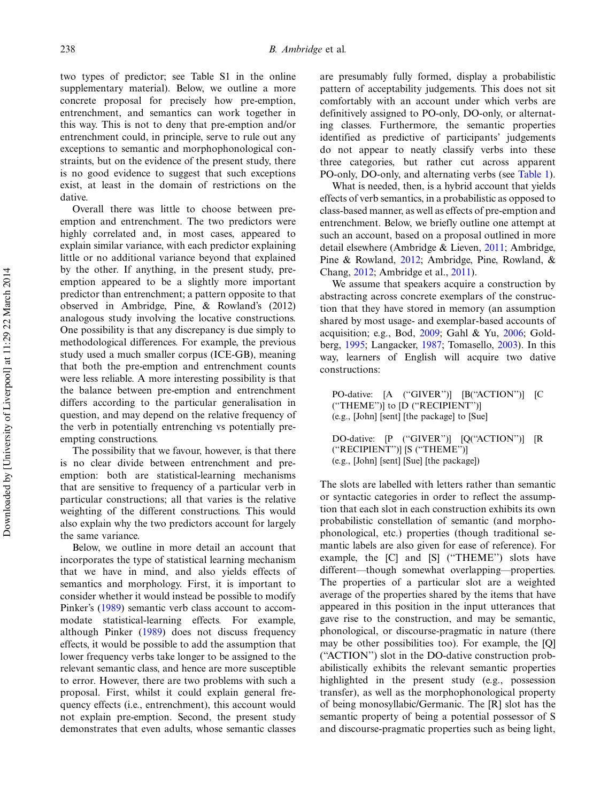two types of predictor; see Table S1 in the online supplementary material). Below, we outline a more concrete proposal for precisely how pre-emption, entrenchment, and semantics can work together in this way. This is not to deny that pre-emption and/or entrenchment could, in principle, serve to rule out any exceptions to semantic and morphophonological constraints, but on the evidence of the present study, there is no good evidence to suggest that such exceptions exist, at least in the domain of restrictions on the dative.

Overall there was little to choose between preemption and entrenchment. The two predictors were highly correlated and, in most cases, appeared to explain similar variance, with each predictor explaining little or no additional variance beyond that explained by the other. If anything, in the present study, preemption appeared to be a slightly more important predictor than entrenchment; a pattern opposite to that observed in Ambridge, Pine, & Rowland's (2012) analogous study involving the locative constructions. One possibility is that any discrepancy is due simply to methodological differences. For example, the previous study used a much smaller corpus (ICE-GB), meaning that both the pre-emption and entrenchment counts were less reliable. A more interesting possibility is that the balance between pre-emption and entrenchment differs according to the particular generalisation in question, and may depend on the relative frequency of the verb in potentially entrenching vs potentially preempting constructions.

The possibility that we favour, however, is that there is no clear divide between entrenchment and preemption: both are statistical-learning mechanisms that are sensitive to frequency of a particular verb in particular constructions; all that varies is the relative weighting of the different constructions. This would also explain why the two predictors account for largely the same variance.

Below, we outline in more detail an account that incorporates the type of statistical learning mechanism that we have in mind, and also yields effects of semantics and morphology. First, it is important to consider whether it would instead be possible to modify Pinker's ([1989\)](#page-25-0) semantic verb class account to accommodate statistical-learning effects. For example, although Pinker ([1989\)](#page-25-0) does not discuss frequency effects, it would be possible to add the assumption that lower frequency verbs take longer to be assigned to the relevant semantic class, and hence are more susceptible to error. However, there are two problems with such a proposal. First, whilst it could explain general frequency effects (i.e., entrenchment), this account would not explain pre-emption. Second, the present study demonstrates that even adults, whose semantic classes

are presumably fully formed, display a probabilistic pattern of acceptability judgements. This does not sit comfortably with an account under which verbs are definitively assigned to PO-only, DO-only, or alternating classes. Furthermore, the semantic properties identified as predictive of participants' judgements do not appear to neatly classify verbs into these three categories, but rather cut across apparent PO-only, DO-only, and alternating verbs (see [Table 1\)](#page-8-0).

What is needed, then, is a hybrid account that yields effects of verb semantics, in a probabilistic as opposed to class-based manner, as well as effects of pre-emption and entrenchment. Below, we briefly outline one attempt at such an account, based on a proposal outlined in more detail elsewhere (Ambridge & Lieven, [2011](#page-24-0); Ambridge, Pine & Rowland, [2012](#page-24-0); Ambridge, Pine, Rowland, & Chang, [2012;](#page-24-0) Ambridge et al., [2011](#page-24-0)).

We assume that speakers acquire a construction by abstracting across concrete exemplars of the construction that they have stored in memory (an assumption shared by most usage- and exemplar-based accounts of acquisition; e.g., Bod, [2009](#page-24-0); Gahl & Yu, [2006;](#page-24-0) Goldberg, [1995](#page-25-0); Langacker, [1987](#page-25-0); Tomasello, [2003](#page-25-0)). In this way, learners of English will acquire two dative constructions:

```
PO-dative: [A ("GIVER")] [B("ACTION")] [C
(''THEME'')] to [D (''RECIPIENT'')]
(e.g., [John] [sent] [the package] to [Sue]
```
DO-dative: [P (''GIVER'')] [Q(''ACTION'')] [R (''RECIPIENT'')] [S (''THEME'')] (e.g., [John] [sent] [Sue] [the package])

The slots are labelled with letters rather than semantic or syntactic categories in order to reflect the assumption that each slot in each construction exhibits its own probabilistic constellation of semantic (and morphophonological, etc.) properties (though traditional semantic labels are also given for ease of reference). For example, the [C] and [S] ("THEME") slots have different—though somewhat overlapping—properties. The properties of a particular slot are a weighted average of the properties shared by the items that have appeared in this position in the input utterances that gave rise to the construction, and may be semantic, phonological, or discourse-pragmatic in nature (there may be other possibilities too). For example, the [Q] (''ACTION'') slot in the DO-dative construction probabilistically exhibits the relevant semantic properties highlighted in the present study (e.g., possession transfer), as well as the morphophonological property of being monosyllabic/Germanic. The [R] slot has the semantic property of being a potential possessor of S and discourse-pragmatic properties such as being light,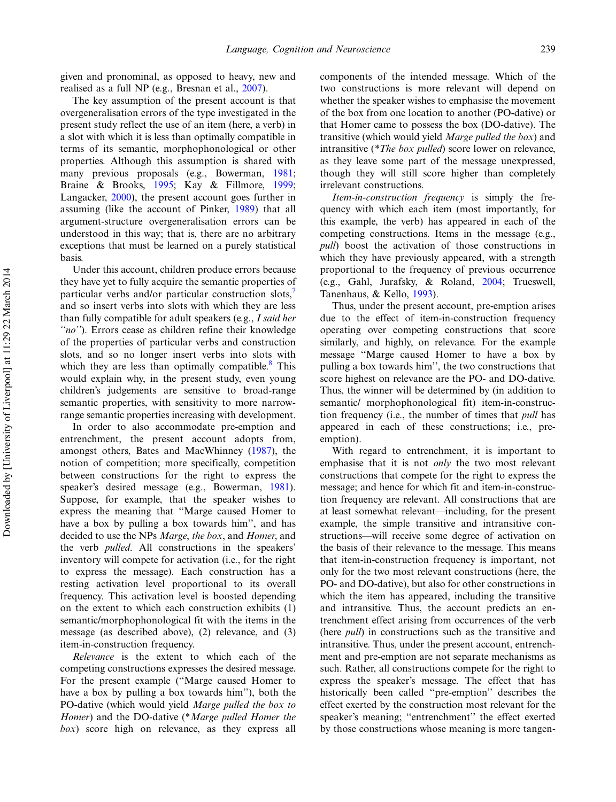given and pronominal, as opposed to heavy, new and realised as a full NP (e.g., Bresnan et al., [2007](#page-24-0)).

The key assumption of the present account is that overgeneralisation errors of the type investigated in the present study reflect the use of an item (here, a verb) in a slot with which it is less than optimally compatible in terms of its semantic, morphophonological or other properties. Although this assumption is shared with many previous proposals (e.g., Bowerman, [1981](#page-24-0); Braine & Brooks, [1995;](#page-24-0) Kay & Fillmore, [1999](#page-25-0); Langacker, [2000\)](#page-25-0), the present account goes further in assuming (like the account of Pinker, [1989](#page-25-0)) that all argument-structure overgeneralisation errors can be understood in this way; that is, there are no arbitrary exceptions that must be learned on a purely statistical basis.

Under this account, children produce errors because they have yet to fully acquire the semantic properties of particular verbs and/or particular construction slots, and so insert verbs into slots with which they are less than fully compatible for adult speakers (e.g., I said her "no"). Errors cease as children refine their knowledge of the properties of particular verbs and construction slots, and so no longer insert verbs into slots with which they are less than optimally compatible. $8$  This would explain why, in the present study, even young children's judgements are sensitive to broad-range semantic properties, with sensitivity to more narrowrange semantic properties increasing with development.

In order to also accommodate pre-emption and entrenchment, the present account adopts from, amongst others, Bates and MacWhinney ([1987\)](#page-24-0), the notion of competition; more specifically, competition between constructions for the right to express the speaker's desired message (e.g., Bowerman, [1981\)](#page-24-0). Suppose, for example, that the speaker wishes to express the meaning that ''Marge caused Homer to have a box by pulling a box towards him'', and has decided to use the NPs Marge, the box, and Homer, and the verb pulled. All constructions in the speakers' inventory will compete for activation (i.e., for the right to express the message). Each construction has a resting activation level proportional to its overall frequency. This activation level is boosted depending on the extent to which each construction exhibits (1) semantic/morphophonological fit with the items in the message (as described above), (2) relevance, and (3) item-in-construction frequency.

Relevance is the extent to which each of the competing constructions expresses the desired message. For the present example (''Marge caused Homer to have a box by pulling a box towards him''), both the PO-dative (which would yield *Marge pulled the box to* Homer) and the DO-dative (\*Marge pulled Homer the box) score high on relevance, as they express all components of the intended message. Which of the two constructions is more relevant will depend on whether the speaker wishes to emphasise the movement of the box from one location to another (PO-dative) or that Homer came to possess the box (DO-dative). The transitive (which would yield Marge pulled the box) and intransitive (\**The box pulled*) score lower on relevance, as they leave some part of the message unexpressed, though they will still score higher than completely irrelevant constructions.

Item-in-construction frequency is simply the frequency with which each item (most importantly, for this example, the verb) has appeared in each of the competing constructions. Items in the message (e.g., pull) boost the activation of those constructions in which they have previously appeared, with a strength proportional to the frequency of previous occurrence (e.g., Gahl, Jurafsky, & Roland, [2004](#page-24-0); Trueswell, Tanenhaus, & Kello, [1993](#page-25-0)).

Thus, under the present account, pre-emption arises due to the effect of item-in-construction frequency operating over competing constructions that score similarly, and highly, on relevance. For the example message ''Marge caused Homer to have a box by pulling a box towards him'', the two constructions that score highest on relevance are the PO- and DO-dative. Thus, the winner will be determined by (in addition to semantic/ morphophonological fit) item-in-construction frequency (i.e., the number of times that pull has appeared in each of these constructions; i.e., preemption).

With regard to entrenchment, it is important to emphasise that it is not *only* the two most relevant constructions that compete for the right to express the message; and hence for which fit and item-in-construction frequency are relevant. All constructions that are at least somewhat relevant—including, for the present example, the simple transitive and intransitive constructions—will receive some degree of activation on the basis of their relevance to the message. This means that item-in-construction frequency is important, not only for the two most relevant constructions (here, the PO- and DO-dative), but also for other constructions in which the item has appeared, including the transitive and intransitive. Thus, the account predicts an entrenchment effect arising from occurrences of the verb (here *pull*) in constructions such as the transitive and intransitive. Thus, under the present account, entrenchment and pre-emption are not separate mechanisms as such. Rather, all constructions compete for the right to express the speaker's message. The effect that has historically been called ''pre-emption'' describes the effect exerted by the construction most relevant for the speaker's meaning; ''entrenchment'' the effect exerted by those constructions whose meaning is more tangen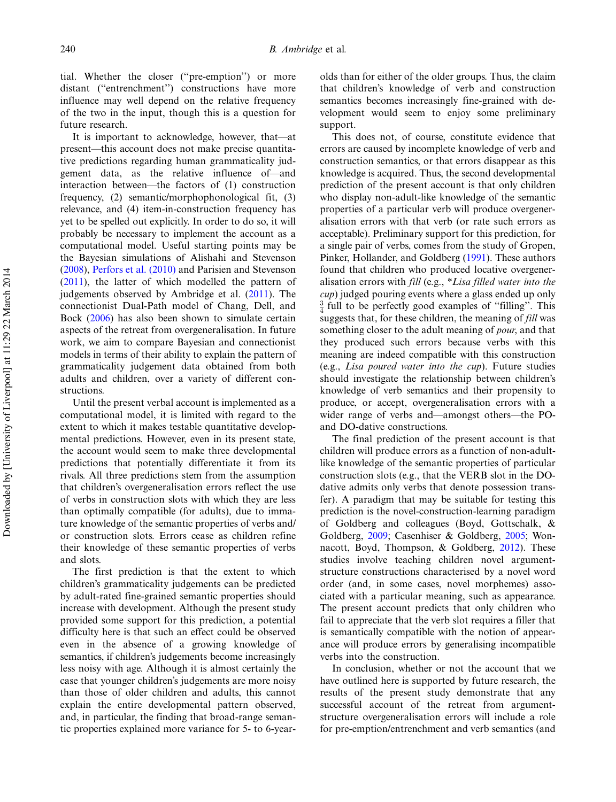tial. Whether the closer (''pre-emption'') or more distant (''entrenchment'') constructions have more influence may well depend on the relative frequency of the two in the input, though this is a question for future research.

It is important to acknowledge, however, that—at present—this account does not make precise quantitative predictions regarding human grammaticality judgement data, as the relative influence of—and interaction between—the factors of (1) construction frequency, (2) semantic/morphophonological fit, (3) relevance, and (4) item-in-construction frequency has yet to be spelled out explicitly. In order to do so, it will probably be necessary to implement the account as a computational model. Useful starting points may be the Bayesian simulations of Alishahi and Stevenson ([2008\)](#page-24-0), [Perfors et al. \(2010\)](#page-25-0) and Parisien and Stevenson ([2011\)](#page-25-0), the latter of which modelled the pattern of judgements observed by Ambridge et al. [\(2011\)](#page-24-0). The connectionist Dual-Path model of Chang, Dell, and Bock [\(2006](#page-24-0)) has also been shown to simulate certain aspects of the retreat from overgeneralisation. In future work, we aim to compare Bayesian and connectionist models in terms of their ability to explain the pattern of grammaticality judgement data obtained from both adults and children, over a variety of different constructions.

Until the present verbal account is implemented as a computational model, it is limited with regard to the extent to which it makes testable quantitative developmental predictions. However, even in its present state, the account would seem to make three developmental predictions that potentially differentiate it from its rivals. All three predictions stem from the assumption that children's overgeneralisation errors reflect the use of verbs in construction slots with which they are less than optimally compatible (for adults), due to immature knowledge of the semantic properties of verbs and/ or construction slots. Errors cease as children refine their knowledge of these semantic properties of verbs and slots.

The first prediction is that the extent to which children's grammaticality judgements can be predicted by adult-rated fine-grained semantic properties should increase with development. Although the present study provided some support for this prediction, a potential difficulty here is that such an effect could be observed even in the absence of a growing knowledge of semantics, if children's judgements become increasingly less noisy with age. Although it is almost certainly the case that younger children's judgements are more noisy than those of older children and adults, this cannot explain the entire developmental pattern observed, and, in particular, the finding that broad-range semantic properties explained more variance for 5- to 6-year-

olds than for either of the older groups. Thus, the claim that children's knowledge of verb and construction semantics becomes increasingly fine-grained with development would seem to enjoy some preliminary support.

This does not, of course, constitute evidence that errors are caused by incomplete knowledge of verb and construction semantics, or that errors disappear as this knowledge is acquired. Thus, the second developmental prediction of the present account is that only children who display non-adult-like knowledge of the semantic properties of a particular verb will produce overgeneralisation errors with that verb (or rate such errors as acceptable). Preliminary support for this prediction, for a single pair of verbs, comes from the study of Gropen, Pinker, Hollander, and Goldberg [\(1991](#page-25-0)). These authors found that children who produced locative overgeneralisation errors with fill (e.g., \*Lisa filled water into the cup) judged pouring events where a glass ended up only  $\frac{3}{4}$  full to be perfectly good examples of "filling". This suggests that, for these children, the meaning of fill was something closer to the adult meaning of *pour*, and that they produced such errors because verbs with this meaning are indeed compatible with this construction (e.g., Lisa poured water into the cup). Future studies should investigate the relationship between children's knowledge of verb semantics and their propensity to produce, or accept, overgeneralisation errors with a wider range of verbs and—amongst others—the POand DO-dative constructions.

The final prediction of the present account is that children will produce errors as a function of non-adultlike knowledge of the semantic properties of particular construction slots (e.g., that the VERB slot in the DOdative admits only verbs that denote possession transfer). A paradigm that may be suitable for testing this prediction is the novel-construction-learning paradigm of Goldberg and colleagues (Boyd, Gottschalk, & Goldberg, [2009;](#page-24-0) Casenhiser & Goldberg, [2005;](#page-24-0) Wonnacott, Boyd, Thompson, & Goldberg, [2012](#page-25-0)). These studies involve teaching children novel argumentstructure constructions characterised by a novel word order (and, in some cases, novel morphemes) associated with a particular meaning, such as appearance. The present account predicts that only children who fail to appreciate that the verb slot requires a filler that is semantically compatible with the notion of appearance will produce errors by generalising incompatible verbs into the construction.

In conclusion, whether or not the account that we have outlined here is supported by future research, the results of the present study demonstrate that any successful account of the retreat from argumentstructure overgeneralisation errors will include a role for pre-emption/entrenchment and verb semantics (and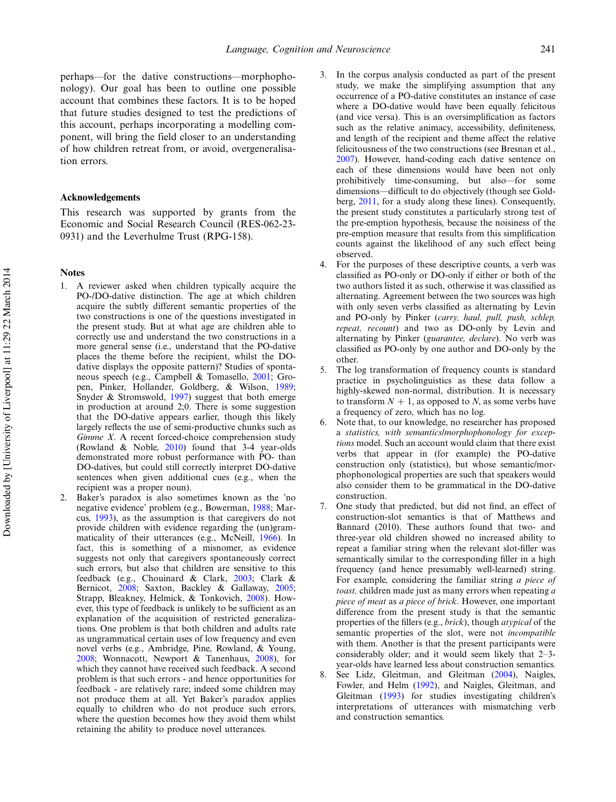<span id="page-23-0"></span>perhaps—for the dative constructions—morphophonology). Our goal has been to outline one possible account that combines these factors. It is to be hoped that future studies designed to test the predictions of this account, perhaps incorporating a modelling component, will bring the field closer to an understanding of how children retreat from, or avoid, overgeneralisation errors.

#### Acknowledgements

This research was supported by grants from the Economic and Social Research Council (RES-062-23- 0931) and the Leverhulme Trust (RPG-158).

#### **Notes**

- 1. A reviewer asked when children typically acquire the PO-/DO-dative distinction. The age at which children acquire the subtly different semantic properties of the two constructions is one of the questions investigated in the present study. But at what age are children able to correctly use and understand the two constructions in a more general sense (i.e., understand that the PO-dative places the theme before the recipient, whilst the DOdative displays the opposite pattern)? Studies of spontaneous speech (e.g., Campbell & Tomasello, [2001;](#page-24-0) Gropen, Pinker, Hollander, Goldberg, & Wilson, [1989](#page-25-0); Snyder & Stromswold, [1997](#page-25-0)) suggest that both emerge in production at around 2;0. There is some suggestion that the DO-dative appears earlier, though this likely largely reflects the use of semi-productive chunks such as Gimme X. A recent forced-choice comprehension study (Rowland & Noble, [2010](#page-25-0)) found that 3-4 year-olds demonstrated more robust performance with PO- than DO-datives, but could still correctly interpret DO-dative sentences when given additional cues (e.g., when the recipient was a proper noun).
- 2. Baker's paradox is also sometimes known as the 'no negative evidence' problem (e.g., Bowerman, [1988;](#page-24-0) Marcus, [1993\)](#page-25-0), as the assumption is that caregivers do not provide children with evidence regarding the (un)grammaticality of their utterances (e.g., McNeill, [1966\)](#page-25-0). In fact, this is something of a misnomer, as evidence suggests not only that caregivers spontaneously correct such errors, but also that children are sensitive to this feedback (e.g., Chouinard & Clark, [2003](#page-24-0); Clark & Bernicot, [2008;](#page-24-0) Saxton, Backley & Gallaway, [2005](#page-25-0); Strapp, Bleakney, Helmick, & Tonkovich, [2008\)](#page-25-0). However, this type of feedback is unlikely to be sufficient as an explanation of the acquisition of restricted generalizations. One problem is that both children and adults rate as ungrammatical certain uses of low frequency and even novel verbs (e.g., Ambridge, Pine, Rowland, & Young, [2008;](#page-24-0) Wonnacott, Newport & Tanenhaus, [2008\)](#page-25-0), for which they cannot have received such feedback. A second problem is that such errors - and hence opportunities for feedback - are relatively rare; indeed some children may not produce them at all. Yet Baker's paradox applies equally to children who do not produce such errors, where the question becomes how they avoid them whilst retaining the ability to produce novel utterances.
- 3. In the corpus analysis conducted as part of the present study, we make the simplifying assumption that any occurrence of a PO-dative constitutes an instance of case where a DO-dative would have been equally felicitous (and vice versa). This is an oversimplification as factors such as the relative animacy, accessibility, definiteness, and length of the recipient and theme affect the relative felicitousness of the two constructions (see Bresnan et al., [2007\)](#page-24-0). However, hand-coding each dative sentence on each of these dimensions would have been not only prohibitively time-consuming, but also—for some dimensions—difficult to do objectively (though see Goldberg, [2011,](#page-25-0) for a study along these lines). Consequently, the present study constitutes a particularly strong test of the pre-emption hypothesis, because the noisiness of the pre-emption measure that results from this simplification counts against the likelihood of any such effect being observed.
- 4. For the purposes of these descriptive counts, a verb was classified as PO-only or DO-only if either or both of the two authors listed it as such, otherwise it was classified as alternating. Agreement between the two sources was high with only seven verbs classified as alternating by Levin and PO-only by Pinker (carry, haul, pull, push, schlep, repeat, recount) and two as DO-only by Levin and alternating by Pinker (guarantee, declare). No verb was classified as PO-only by one author and DO-only by the other.
- 5. The log transformation of frequency counts is standard practice in psycholinguistics as these data follow a highly-skewed non-normal, distribution. It is necessary to transform  $N + 1$ , as opposed to N, as some verbs have a frequency of zero, which has no log.
- 6. Note that, to our knowledge, no researcher has proposed a statistics, with semantics/morphophonology for exceptions model. Such an account would claim that there exist verbs that appear in (for example) the PO-dative construction only (statistics), but whose semantic/morphophonological properties are such that speakers would also consider them to be grammatical in the DO-dative construction.
- 7. One study that predicted, but did not find, an effect of construction-slot semantics is that of Matthews and Bannard (2010). These authors found that two- and three-year old children showed no increased ability to repeat a familiar string when the relevant slot-filler was semantically similar to the corresponding filler in a high frequency (and hence presumably well-learned) string. For example, considering the familiar string a piece of toast, children made just as many errors when repeating a piece of meat as a piece of brick. However, one important difference from the present study is that the semantic properties of the fillers (e.g., brick), though atypical of the semantic properties of the slot, were not incompatible with them. Another is that the present participants were considerably older; and it would seem likely that  $2-3$ year-olds have learned less about construction semantics.
- 8. See Lidz, Gleitman, and Gleitman [\(2004](#page-25-0)), Naigles, Fowler, and Helm ([1992\)](#page-25-0), and Naigles, Gleitman, and Gleitman ([1993\)](#page-25-0) for studies investigating children's interpretations of utterances with mismatching verb and construction semantics.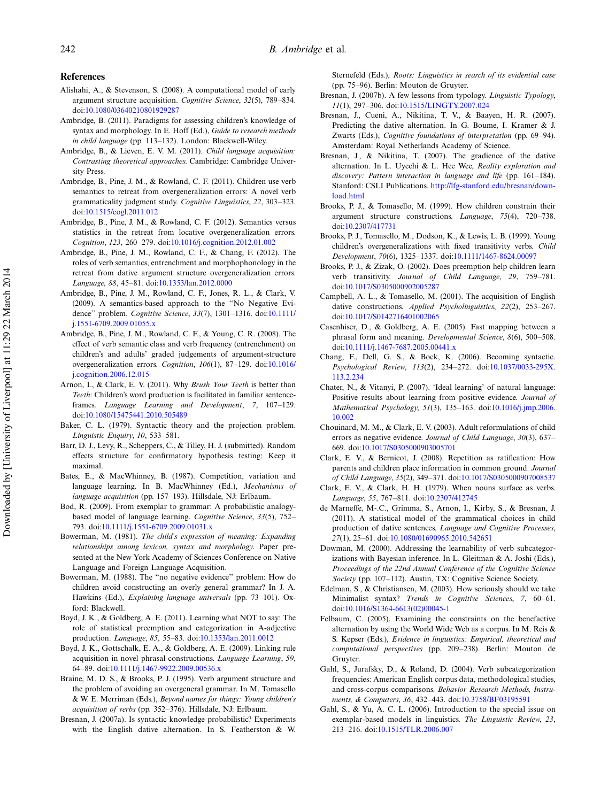#### <span id="page-24-0"></span>**References**

- Alishahi, A., & Stevenson, S. (2008). A computational model of early argument structure acquisition. Cognitive Science, 32(5), 789-834. doi[:10.1080/03640210801929287](http://dx.doi.org/10.1080/03640210801929287)
- Ambridge, B. (2011). Paradigms for assessing children's knowledge of syntax and morphology. In E. Hoff (Ed.), Guide to research methods in child language (pp. 113-132). London: Blackwell-Wiley.
- Ambridge, B., & Lieven, E. V. M. (2011). Child language acquisition: Contrasting theoretical approaches. Cambridge: Cambridge University Press.
- Ambridge, B., Pine, J. M., & Rowland, C. F. (2011). Children use verb semantics to retreat from overgeneralization errors: A novel verb grammaticality judgment study. Cognitive Linguistics, 22, 303-323. doi[:10.1515/cogl.2011.012](http://dx.doi.org/10.1515/cogl.2011.012)
- Ambridge, B., Pine, J. M., & Rowland, C. F. (2012). Semantics versus statistics in the retreat from locative overgeneralization errors. Cognition, 123, 260-279. doi[:10.1016/j.cognition.2012.01.002](http://dx.doi.org/10.1016/j.cognition.2012.01.002)
- Ambridge, B., Pine, J. M., Rowland, C. F., & Chang, F. (2012). The roles of verb semantics, entrenchment and morphophonology in the retreat from dative argument structure overgeneralization errors. Language, 88, 45-81. doi[:10.1353/lan.2012.0000](http://dx.doi.org/10.1353/lan.2012.0000)
- Ambridge, B., Pine, J. M., Rowland, C. F., Jones, R. L., & Clark, V. (2009). A semantics-based approach to the ''No Negative Evi-dence" problem. Cognitive Science, 33(7), 1301-1316. doi[:10.1111/](http://dx.doi.org/10.1111/j.1551-6709.2009.01055.x) [j.1551-6709.2009.01055.x](http://dx.doi.org/10.1111/j.1551-6709.2009.01055.x)
- Ambridge, B., Pine, J. M., Rowland, C. F., & Young, C. R. (2008). The effect of verb semantic class and verb frequency (entrenchment) on children's and adults' graded judgements of argument-structure overgeneralization errors. Cognition, 106(1), 87-129. doi[:10.1016/](http://dx.doi.org/10.1016/j.cognition.2006.12.015) [j.cognition.2006.12.015](http://dx.doi.org/10.1016/j.cognition.2006.12.015)
- Arnon, I., & Clark, E. V. (2011). Why Brush Your Teeth is better than Teeth: Children's word production is facilitated in familiar sentenceframes. Language Learning and Development, 7, 107-129. doi[:10.1080/15475441.2010.505489](http://dx.doi.org/10.1080/15475441.2010.505489)
- Baker, C. L. (1979). Syntactic theory and the projection problem. Linguistic Enquiry, 10, 533-581.
- Barr, D. J., Levy, R., Scheppers, C., & Tilley, H. J. (submitted). Random effects structure for confirmatory hypothesis testing: Keep it maximal.
- Bates, E., & MacWhinney, B. (1987). Competition, variation and language learning. In B. MacWhinney (Ed.), Mechanisms of language acquisition (pp. 157-193). Hillsdale, NJ: Erlbaum.
- Bod, R. (2009). From exemplar to grammar: A probabilistic analogybased model of language learning. Cognitive Science, 33(5), 752-793. doi:[10.1111/j.1551-6709.2009.01031.x](http://dx.doi.org/10.1111/j.1551-6709.2009.01031.x)
- Bowerman, M. (1981). The child's expression of meaning: Expanding relationships among lexicon, syntax and morphology. Paper presented at the New York Academy of Sciences Conference on Native Language and Foreign Language Acquisition.
- Bowerman, M. (1988). The ''no negative evidence'' problem: How do children avoid constructing an overly general grammar? In J. A. Hawkins (Ed.), Explaining language universals (pp. 73-101). Oxford: Blackwell.
- Boyd, J. K., & Goldberg, A. E. (2011). Learning what NOT to say: The role of statistical preemption and categorization in A-adjective production. Language, 85, 55-83. doi[:10.1353/lan.2011.0012](http://dx.doi.org/10.1353/lan.2011.0012)
- Boyd, J. K., Gottschalk, E. A., & Goldberg, A. E. (2009). Linking rule acquisition in novel phrasal constructions. Language Learning, 59, 64-89. doi:[10.1111/j.1467-9922.2009.00536.x](http://dx.doi.org/10.1111/j.1467-9922.2009.00536.x)
- Braine, M. D. S., & Brooks, P. J. (1995). Verb argument structure and the problem of avoiding an overgeneral grammar. In M. Tomasello & W. E. Merriman (Eds.), Beyond names for things: Young children's acquisition of verbs (pp. 352-376). Hillsdale, NJ: Erlbaum.
- Bresnan, J. (2007a). Is syntactic knowledge probabilistic? Experiments with the English dative alternation. In S. Featherston & W.

Sternefeld (Eds.), *Roots: Linguistics in search of its evidential case* (pp. 75-96). Berlin: Mouton de Gruyter.

- Bresnan, J. (2007b). A few lessons from typology. Linguistic Typology, 11(1), 297-306. doi:[10.1515/LINGTY.2007.024](http://dx.doi.org/10.1515/LINGTY.2007.024)
- Bresnan, J., Cueni, A., Nikitina, T. V., & Baayen, H. R. (2007). Predicting the dative alternation. In G. Boume, I. Kramer & J. Zwarts (Eds.), Cognitive foundations of interpretation (pp. 69-94). Amsterdam: Royal Netherlands Academy of Science.
- Bresnan, J., & Nikitina, T. (2007). The gradience of the dative alternation. In L. Uyechi & L. Hee Wee, Reality exploration and discovery: Pattern interaction in language and life (pp. 161-184). Stanford: CSLI Publications. [http://lfg-stanford.edu/bresnan/down](http://lfg-stanford.edu/bresnan/download.html)[load.html](http://lfg-stanford.edu/bresnan/download.html)
- Brooks, P. J., & Tomasello, M. (1999). How children constrain their argument structure constructions. Language,  $75(4)$ ,  $720-738$ . doi[:10.2307/417731](http://dx.doi.org/10.2307/417731)
- Brooks, P. J., Tomasello, M., Dodson, K., & Lewis, L. B. (1999). Young children's overgeneralizations with fixed transitivity verbs. Child Development, 70(6), 1325-1337. doi:10.1111/1467-8624.0009
- Brooks, P. J., & Zizak, O. (2002). Does preemption help children learn verb transitivity. Journal of Child Language, 29, 759-781. doi[:10.1017/S0305000902005287](http://dx.doi.org/10.1017/S0305000902005287)
- Campbell, A. L., & Tomasello, M. (2001). The acquisition of English dative constructions. Applied Psycholinguistics, 22(2), 253-267. doi[:10.1017/S0142716401002065](http://dx.doi.org/10.1017/S0142716401002065)
- Casenhiser, D., & Goldberg, A. E. (2005). Fast mapping between a phrasal form and meaning. Developmental Science,  $8(6)$ , 500-508. doi[:10.1111/j.1467-7687.2005.00441.x](http://dx.doi.org/10.1111/j.1467-7687.2005.00441.x)
- Chang, F., Dell, G. S., & Bock, K. (2006). Becoming syntactic. Psychological Review, 113(2), 234-272. doi:[10.1037/0033-295X.](http://dx.doi.org/10.1037/0033-295X.113.2.234) [113.2.234](http://dx.doi.org/10.1037/0033-295X.113.2.234)
- Chater, N., & Vitanyi, P. (2007). 'Ideal learning' of natural language: Positive results about learning from positive evidence. Journal of Mathematical Psychology, 51(3), 135-163. doi[:10.1016/j.jmp.2006.](http://dx.doi.org/10.1016/j.jmp.2006.10.002) [10.002](http://dx.doi.org/10.1016/j.jmp.2006.10.002)
- Chouinard, M. M., & Clark, E. V. (2003). Adult reformulations of child errors as negative evidence. Journal of Child Language, 30(3), 637-669. doi:[10.1017/S0305000903005701](http://dx.doi.org/10.1017/S0305000903005701)
- Clark, E. V., & Bernicot, J. (2008). Repetition as ratification: How parents and children place information in common ground. Journal of Child Language, 35(2), 349-371. doi[:10.1017/S0305000907008537](http://dx.doi.org/10.1017/S0305000907008537)
- Clark, E. V., & Clark, H. H. (1979). When nouns surface as verbs. Language, 55, 767-811. doi:[10.2307/412745](http://dx.doi.org/10.2307/412745)
- de Marneffe, M-.C., Grimma, S., Arnon, I., Kirby, S., & Bresnan, J. (2011). A statistical model of the grammatical choices in child production of dative sentences. Language and Cognitive Processes, 27(1), 25-61. doi[:10.1080/01690965.2010.542651](http://dx.doi.org/10.1080/01690965.2010.542651)
- Dowman, M. (2000). Addressing the learnability of verb subcategorizations with Bayesian inference. In L. Gleitman & A. Joshi (Eds.), Proceedings of the 22nd Annual Conference of the Cognitive Science Society (pp. 107-112). Austin, TX: Cognitive Science Society.
- Edelman, S., & Christiansen, M. (2003). How seriously should we take Minimalist syntax? Trends in Cognitive Sciences, 7, 60-61. doi[:10.1016/S1364-6613\(02\)00045-1](http://dx.doi.org/10.1016/S1364-6613(02)00045-1)
- Felbaum, C. (2005). Examining the constraints on the benefactive alternation by using the World Wide Web as a corpus. In M. Reis & S. Kepser (Eds.), Evidence in linguistics: Empirical, theoretical and computational perspectives (pp. 209-238). Berlin: Mouton de Gruyter.
- Gahl, S., Jurafsky, D., & Roland, D. (2004). Verb subcategorization frequencies: American English corpus data, methodological studies, and cross-corpus comparisons. Behavior Research Methods, Instru-ments, & Computers, 36, 432-443. doi[:10.3758/BF03195591](http://dx.doi.org/10.3758/BF03195591)
- Gahl, S., & Yu, A. C. L. (2006). Introduction to the special issue on exemplar-based models in linguistics. The Linguistic Review, 23, 213-216. doi:[10.1515/TLR.2006.007](http://dx.doi.org/10.1515/TLR.2006.007)